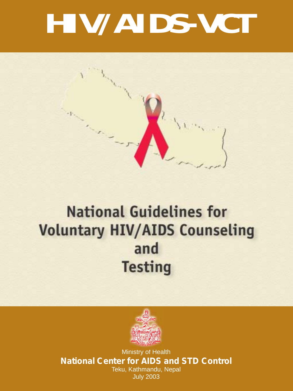# **HIV/AIDS-VCT**



# **National Guidelines for Voluntary HIV/AIDS Counseling** and **Testing**



Ministry of Health **National Center for AIDS and STD Control** Teku, Kathmandu, Nepal July 2003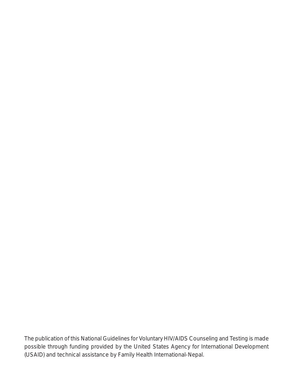*The publication of this National Guidelines for Voluntary HIV/AIDS Counseling and Testing is made possible through funding provided by the United States Agency for International Development (USAID) and technical assistance by Family Health International-Nepal.*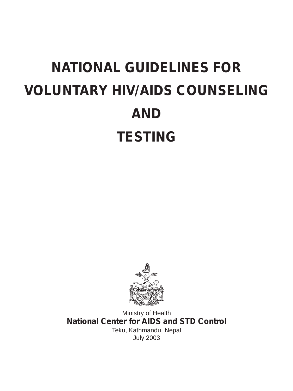# **NATIONAL GUIDELINES FOR VOLUNTARY HIV/AIDS COUNSELING AND TESTING**



Ministry of Health **National Center for AIDS and STD Control** Teku, Kathmandu, Nepal July 2003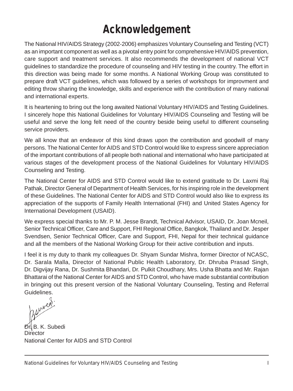# **Acknowledgement**

The National HIV/AIDS Strategy (2002-2006) emphasizes Voluntary Counseling and Testing (VCT) as an important component as well as a pivotal entry point for comprehensive HIV/AIDS prevention, care support and treatment services. It also recommends the development of national VCT guidelines to standardize the procedure of counseling and HIV testing in the country. The effort in this direction was being made for some months. A National Working Group was constituted to prepare draft VCT guidelines, which was followed by a series of workshops for improvment and editing throw sharing the knowledge, skills and experience with the contribution of many national and international experts.

It is heartening to bring out the long awaited National Voluntary HIV/AIDS and Testing Guidelines. I sincerely hope this National Guidelines for Voluntary HIV/AIDS Counseling and Testing will be useful and serve the long felt need of the country beside being useful to different counseling service providers.

We all know that an endeavor of this kind draws upon the contribution and goodwill of many persons. The National Center for AIDS and STD Control would like to express sincere appreciation of the important contributions of all people both national and international who have participated at various stages of the development process of the National Guidelines for Voluntary HIV/AIDS Counseling and Testing.

The National Center for AIDS and STD Control would like to extend gratitude to Dr. Laxmi Raj Pathak, Director General of Department of Health Services, for his inspiring role in the development of these Guidelines. The National Center for AIDS and STD Control would also like to express its appreciation of the supports of Family Health International (FHI) and United States Agency for International Development (USAID).

We express special thanks to Mr. P. M. Jesse Brandt, Technical Advisor, USAID, Dr. Joan Mcneil, Senior Technical Officer, Care and Support, FHI Regional Office, Bangkok, Thailand and Dr. Jesper Svendsen, Senior Technical Officer, Care and Support, FHI, Nepal for their technical guidance and all the members of the National Working Group for their active contribution and inputs.

I feel it is my duty to thank my colleagues Dr. Shyam Sundar Mishra, former Director of NCASC, Dr. Sarala Malla, Director of National Public Health Laboratory, Dr. Dhruba Prasad Singh, Dr. Digvijay Rana, Dr. Sushmita Bhandari, Dr. Pulkit Choudhary, Mrs. Usha Bhatta and Mr. Rajan Bhattarai of the National Center for AIDS and STD Control, who have made substantial contribution in bringing out this present version of the National Voluntary Counseling, Testing and Referral Guidelines.

suven

**Dr**. K. Subedi **Director** National Center for AIDS and STD Control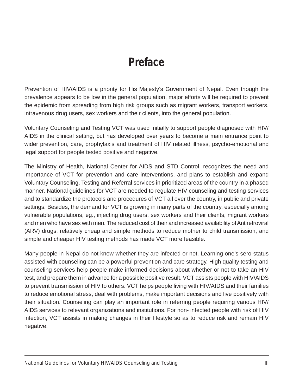# **Preface**

Prevention of HIV/AIDS is a priority for His Majesty's Government of Nepal. Even though the prevalence appears to be low in the general population, major efforts will be required to prevent the epidemic from spreading from high risk groups such as migrant workers, transport workers, intravenous drug users, sex workers and their clients, into the general population.

Voluntary Counseling and Testing VCT was used initially to support people diagnosed with HIV/ AIDS in the clinical setting, but has developed over years to become a main entrance point to wider prevention, care, prophylaxis and treatment of HIV related illness, psycho-emotional and legal support for people tested positive and negative.

The Ministry of Health, National Center for AIDS and STD Control, recognizes the need and importance of VCT for prevention and care interventions, and plans to establish and expand Voluntary Counseling, Testing and Referral services in prioritized areas of the country in a phased manner. National guidelines for VCT are needed to regulate HIV counseling and testing services and to standardize the protocols and procedures of VCT all over the country, in public and private settings. Besides, the demand for VCT is growing in many parts of the country, especially among vulnerable populations, eg., injecting drug users, sex workers and their clients, migrant workers and men who have sex with men. The reduced cost of their and increased availability of Antiretroviral (ARV) drugs, relatively cheap and simple methods to reduce mother to child transmission, and simple and cheaper HIV testing methods has made VCT more feasible.

Many people in Nepal do not know whether they are infected or not. Learning one's sero-status assisted with counseling can be a powerful prevention and care strategy. High quality testing and counseling services help people make informed decisions about whether or not to take an HIV test, and prepare them in advance for a possible positive result. VCT assists people with HIV/AIDS to prevent transmission of HIV to others. VCT helps people living with HIV/AIDS and their families to reduce emotional stress, deal with problems, make important decisions and live positively with their situation. Counseling can play an important role in referring people requiring various HIV/ AIDS services to relevant organizations and institutions. For non- infected people with risk of HIV infection, VCT assists in making changes in their lifestyle so as to reduce risk and remain HIV negative.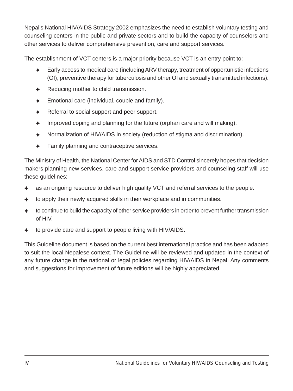Nepal's National HIV/AIDS Strategy 2002 emphasizes the need to establish voluntary testing and counseling centers in the public and private sectors and to build the capacity of counselors and other services to deliver comprehensive prevention, care and support services.

The establishment of VCT centers is a major priority because VCT is an entry point to:

- ✦ Early access to medical care (including ARV therapy, treatment of opportunistic infections (OI), preventive therapy for tuberculosis and other OI and sexually transmitted infections).
- ✦ Reducing mother to child transmission.
- $\triangleleft$  Emotional care (individual, couple and family).
- ✦ Referral to social support and peer support.
- $\triangleleft$  Improved coping and planning for the future (orphan care and will making).
- ✦ Normalization of HIV/AIDS in society (reduction of stigma and discrimination).
- ✦ Family planning and contraceptive services.

The Ministry of Health, the National Center for AIDS and STD Control sincerely hopes that decision makers planning new services, care and support service providers and counseling staff will use these guidelines:

- as an ongoing resource to deliver high quality VCT and referral services to the people.
- to apply their newly acquired skills in their workplace and in communities.
- to continue to build the capacity of other service providers in order to prevent further transmission of HIV.
- to provide care and support to people living with HIV/AIDS.

This Guideline document is based on the current best international practice and has been adapted to suit the local Nepalese context. The Guideline will be reviewed and updated in the context of any future change in the national or legal policies regarding HIV/AIDS in Nepal. Any comments and suggestions for improvement of future editions will be highly appreciated.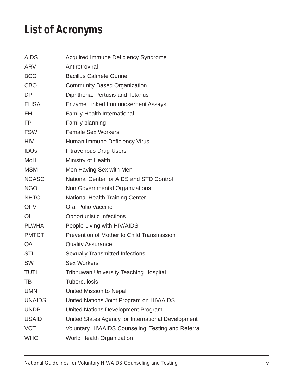# **List of Acronyms**

| <b>AIDS</b>   | Acquired Immune Deficiency Syndrome                 |
|---------------|-----------------------------------------------------|
| ARV           | Antiretroviral                                      |
| BCG           | <b>Bacillus Calmete Gurine</b>                      |
| CBO           | <b>Community Based Organization</b>                 |
| DPT           | Diphtheria, Pertusis and Tetanus                    |
| <b>ELISA</b>  | Enzyme Linked Immunoserbent Assays                  |
| FHI           | Family Health International                         |
| FP.           | Family planning                                     |
| <b>FSW</b>    | <b>Female Sex Workers</b>                           |
| <b>HIV</b>    | Human Immune Deficiency Virus                       |
| <b>IDUs</b>   | <b>Intravenous Drug Users</b>                       |
| MoH           | Ministry of Health                                  |
| MSM           | Men Having Sex with Men                             |
| <b>NCASC</b>  | National Center for AIDS and STD Control            |
| <b>NGO</b>    | Non Governmental Organizations                      |
| <b>NHTC</b>   | National Health Training Center                     |
| <b>OPV</b>    | <b>Oral Polio Vaccine</b>                           |
| ΩL            | Opportunistic Infections                            |
| <b>PLWHA</b>  | People Living with HIV/AIDS                         |
| <b>PMTCT</b>  | Prevention of Mother to Child Transmission          |
| QA            | <b>Quality Assurance</b>                            |
| STI           | <b>Sexually Transmitted Infections</b>              |
| SW            | Sex Workers                                         |
| TUTH          | Tribhuwan University Teaching Hospital              |
| ТB            | Tuberculosis                                        |
| <b>UMN</b>    | United Mission to Nepal                             |
| <b>UNAIDS</b> | United Nations Joint Program on HIV/AIDS            |
| <b>UNDP</b>   | United Nations Development Program                  |
| <b>USAID</b>  | United States Agency for International Development  |
| <b>VCT</b>    | Voluntary HIV/AIDS Counseling, Testing and Referral |
| <b>WHO</b>    | World Health Organization                           |
|               |                                                     |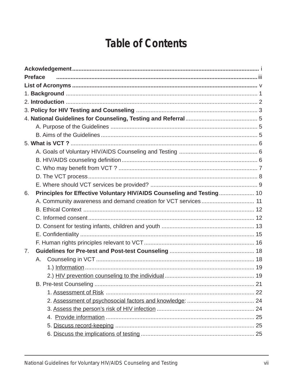# **Table of Contents**

| <b>Preface</b>                                                              |
|-----------------------------------------------------------------------------|
|                                                                             |
|                                                                             |
|                                                                             |
|                                                                             |
|                                                                             |
|                                                                             |
|                                                                             |
|                                                                             |
|                                                                             |
|                                                                             |
|                                                                             |
|                                                                             |
|                                                                             |
| Principles for Effective Voluntary HIV/AIDS Counseling and Testing 10<br>6. |
| A. Community awareness and demand creation for VCT services 11              |
|                                                                             |
|                                                                             |
|                                                                             |
|                                                                             |
|                                                                             |
| 7.                                                                          |
| А.                                                                          |
|                                                                             |
|                                                                             |
|                                                                             |
|                                                                             |
|                                                                             |
|                                                                             |
|                                                                             |
|                                                                             |
|                                                                             |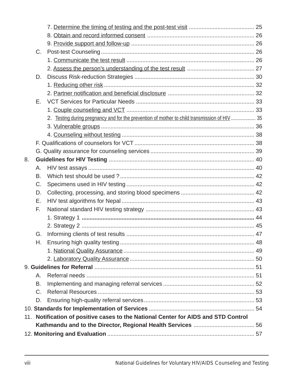|    | C.      |                                                                                               |  |
|----|---------|-----------------------------------------------------------------------------------------------|--|
|    |         |                                                                                               |  |
|    |         |                                                                                               |  |
|    | D.      |                                                                                               |  |
|    |         |                                                                                               |  |
|    |         |                                                                                               |  |
|    | Е.      |                                                                                               |  |
|    |         |                                                                                               |  |
|    |         | 2. Testing during pregnancy and for the prevention of mother to child transmission of HIV  35 |  |
|    |         |                                                                                               |  |
|    |         |                                                                                               |  |
|    |         |                                                                                               |  |
|    |         |                                                                                               |  |
| 8. |         |                                                                                               |  |
|    | А.      |                                                                                               |  |
|    | B.      |                                                                                               |  |
|    | C.      |                                                                                               |  |
|    | D.      |                                                                                               |  |
|    | Е.      |                                                                                               |  |
|    | F.      |                                                                                               |  |
|    |         |                                                                                               |  |
|    |         |                                                                                               |  |
|    | G.      |                                                                                               |  |
|    | Н.      |                                                                                               |  |
|    |         |                                                                                               |  |
|    |         |                                                                                               |  |
|    |         |                                                                                               |  |
|    | А.      |                                                                                               |  |
|    | В.      |                                                                                               |  |
|    | $C_{1}$ |                                                                                               |  |
|    | D.      |                                                                                               |  |
|    |         |                                                                                               |  |
|    |         | 11. Notification of positive cases to the National Center for AIDS and STD Control            |  |
|    |         |                                                                                               |  |
|    |         |                                                                                               |  |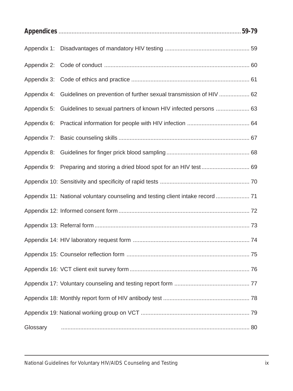|             | Appendix 4: Guidelines on prevention of further sexual transmission of HIV  62  |  |  |
|-------------|---------------------------------------------------------------------------------|--|--|
| Appendix 5: | Guidelines to sexual partners of known HIV infected persons  63                 |  |  |
| Appendix 6: |                                                                                 |  |  |
|             |                                                                                 |  |  |
|             |                                                                                 |  |  |
|             | Appendix 9: Preparing and storing a dried blood spot for an HIV test 69         |  |  |
|             |                                                                                 |  |  |
|             | Appendix 11: National voluntary counseling and testing client intake record  71 |  |  |
|             |                                                                                 |  |  |
|             |                                                                                 |  |  |
|             |                                                                                 |  |  |
|             |                                                                                 |  |  |
|             |                                                                                 |  |  |
|             |                                                                                 |  |  |
|             |                                                                                 |  |  |
|             |                                                                                 |  |  |
| Glossary    |                                                                                 |  |  |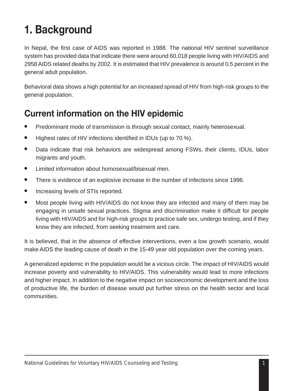# **1. Background**

In Nepal, the first case of AIDS was reported in 1988. The national HIV sentinel surveillance system has provided data that indicate there were around 60,018 people living with HIV/AIDS and 2958 AIDS related deaths by 2002. It is estimated that HIV prevalence is around 0.5 percent in the general adult population.

Behavioral data shows a high potential for an increased spread of HIV from high-risk groups to the general population.

# **Current information on the HIV epidemic**

- Predominant mode of transmission is through sexual contact, mainly heterosexual.
- Highest rates of HIV infections identified in IDUs (up to 70 %).
- Data indicate that risk behaviors are widespread among FSWs, their clients, IDUs, labor migrants and youth.
- Limited information about homosexual/bisexual men.
- There is evidence of an explosive increase in the number of infections since 1996.
- Increasing levels of STIs reported.
- Most people living with HIV/AIDS do not know they are infected and many of them may be engaging in unsafe sexual practices. Stigma and discrimination make it difficult for people living with HIV/AIDS and for high-risk groups to practice safe sex, undergo testing, and if they know they are infected, from seeking treatment and care.

It is believed, that in the absence of effective interventions, even a low growth scenario, would make AIDS the leading cause of death in the 15-49 year old population over the coming years.

A generalized epidemic in the population would be a vicious circle. The impact of HIV/AIDS would increase poverty and vulnerability to HIV/AIDS. This vulnerability would lead to more infections and higher impact. In addition to the negative impact on socioeconomic development and the loss of productive life, the burden of disease would put further stress on the health sector and local communities.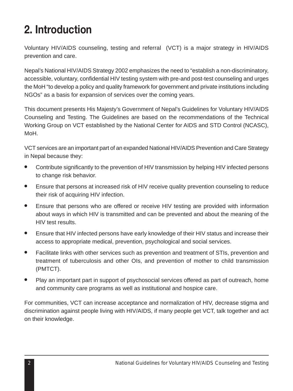# **2. Introduction**

Voluntary HIV/AIDS counseling, testing and referral (VCT) is a major strategy in HIV/AIDS prevention and care.

Nepal's National HIV/AIDS Strategy 2002 emphasizes the need to "establish a non-discriminatory, accessible, voluntary, confidential HIV testing system with pre-and post-test counseling and urges the MoH "to develop a policy and quality framework for government and private institutions including NGOs" as a basis for expansion of services over the coming years.

This document presents His Majesty's Government of Nepal's Guidelines for Voluntary HIV/AIDS Counseling and Testing. The Guidelines are based on the recommendations of the Technical Working Group on VCT established by the National Center for AIDS and STD Control (NCASC), MoH.

VCT services are an important part of an expanded National HIV/AIDS Prevention and Care Strategy in Nepal because they:

- Contribute significantly to the prevention of HIV transmission by helping HIV infected persons to change risk behavior.
- Ensure that persons at increased risk of HIV receive quality prevention counseling to reduce their risk of acquiring HIV infection.
- Ensure that persons who are offered or receive HIV testing are provided with information about ways in which HIV is transmitted and can be prevented and about the meaning of the HIV test results.
- Ensure that HIV infected persons have early knowledge of their HIV status and increase their access to appropriate medical, prevention, psychological and social services.
- Facilitate links with other services such as prevention and treatment of STIs, prevention and treatment of tuberculosis and other OIs, and prevention of mother to child transmission (PMTCT).
- Play an important part in support of psychosocial services offered as part of outreach, home and community care programs as well as institutional and hospice care.

For communities, VCT can increase acceptance and normalization of HIV, decrease stigma and discrimination against people living with HIV/AIDS, if many people get VCT, talk together and act on their knowledge.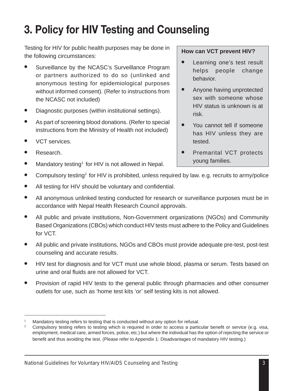# **3. Policy for HIV Testing and Counseling**

Testing for HIV for public health purposes may be done in the following circumstances:

- Surveillance by the NCASC's Surveillance Program or partners authorized to do so (unlinked and anonymous testing for epidemiological purposes without informed consent). (Refer to instructions from the NCASC not included)
- Diagnostic purposes (within institutional settings).
- As part of screening blood donations. (Refer to special instructions from the Ministry of Health not included)
- VCT services.
- Research.
- Mandatory testing<sup>1</sup> for HIV is not allowed in Nepal.

#### **How can VCT prevent HIV?**

- Learning one's test result helps people change behavior.
- Anyone having unprotected sex with someone whose HIV status is unknown is at risk.
- You cannot tell if someone has HIV unless they are tested.
- Premarital VCT protects young families.
- Compulsory testing<sup>2</sup> for HIV is prohibited, unless required by law. e.g. recruits to army/police
- All testing for HIV should be voluntary and confidential.
- All anonymous unlinked testing conducted for research or surveillance purposes must be in accordance with Nepal Health Research Council approvals.
- All public and private institutions, Non-Government organizations (NGOs) and Community Based Organizations (CBOs) which conduct HIV tests must adhere to the Policy and Guidelines for VCT.
- All public and private institutions, NGOs and CBOs must provide adequate pre-test, post-test counseling and accurate results.
- HIV test for diagnosis and for VCT must use whole blood, plasma or serum. Tests based on urine and oral fluids are not allowed for VCT.
- Provision of rapid HIV tests to the general public through pharmacies and other consumer outlets for use, such as 'home test kits 'or' self testing kits is not allowed.

Mandatory testing refers to testing that is conducted without any option for refusal.

<sup>2</sup> Compulsory testing refers to testing which is required in order to access a particular benefit or service (e.g. visa, employment, medical care, armed forces, police, etc.) but where the individual has the option of rejecting the service or benefit and thus avoiding the test. (Please refer to Appendix 1: Disadvantages of mandatory HIV testing.)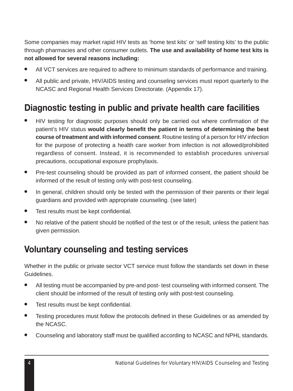Some companies may market rapid HIV tests as 'home test kits' or 'self testing kits' to the public through pharmacies and other consumer outlets. **The use and availability of home test kits is not allowed for several reasons including:**

- All VCT services are required to adhere to minimum standards of performance and training.
- All public and private, HIV/AIDS testing and counseling services must report quarterly to the NCASC and Regional Health Services Directorate. (Appendix 17).

# **Diagnostic testing in public and private health care facilities**

- HIV testing for diagnostic purposes should only be carried out where confirmation of the patient's HIV status **would clearly benefit the patient in terms of determining the best course of treatment and with informed consent**. Routine testing of a person for HIV infection for the purpose of protecting a health care worker from infection is not allowed/prohibited regardless of consent. Instead, it is recommended to establish procedures universal precautions, occupational exposure prophylaxis.
- Pre-test counseling should be provided as part of informed consent, the patient should be informed of the result of testing only with post-test counseling.
- In general, children should only be tested with the permission of their parents or their legal guardians and provided with appropriate counseling. (see later)
- Test results must be kept confidential.
- No relative of the patient should be notified of the test or of the result, unless the patient has given permission.

# **Voluntary counseling and testing services**

Whether in the public or private sector VCT service must follow the standards set down in these Guidelines.

- All testing must be accompanied by pre-and post- test counseling with informed consent. The client should be informed of the result of testing only with post-test counseling.
- Test results must be kept confidential.
- Testing procedures must follow the protocols defined in these Guidelines or as amended by the NCASC.
- Counseling and laboratory staff must be qualified according to NCASC and NPHL standards.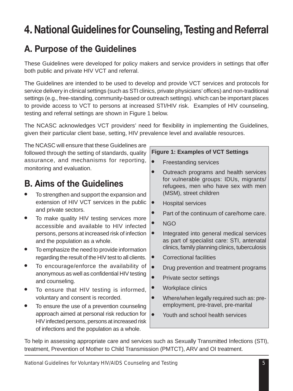# **4. National Guidelines for Counseling, Testing and Referral**

# **A. Purpose of the Guidelines**

These Guidelines were developed for policy makers and service providers in settings that offer both public and private HIV VCT and referral.

The Guidelines are intended to be used to develop and provide VCT services and protocols for service delivery in clinical settings (such as STI clinics, private physicians' offices) and non-traditional settings (e.g., free-standing, community-based or outreach settings). which can be important places to provide access to VCT to persons at increased STI/HIV risk. Examples of HIV counseling, testing and referral settings are shown in Figure 1 below.

The NCASC acknowledges VCT providers' need for flexibility in implementing the Guidelines, given their particular client base, setting, HIV prevalence level and available resources.

The NCASC will ensure that these Guidelines are followed through the setting of standards, quality assurance, and mechanisms for reporting, monitoring and evaluation.

# **B. Aims of the Guidelines**

- To strengthen and support the expansion and extension of HIV VCT services in the public and private sectors.
- To make quality HIV testing services more accessible and available to HIV infected persons, persons at increased risk of infection and the population as a whole.
- To emphasize the need to provide information regarding the result of the HIV test to all clients.
- To encourage/enforce the availability of anonymous as well as confidential HIV testing and counseling.
- To ensure that HIV testing is informed, voluntary and consent is recorded.
- To ensure the use of a prevention counseling approach aimed at personal risk reduction for HIV infected persons, persons at increased risk of infections and the population as a whole.

#### **Figure 1: Examples of VCT Settings**

- Freestanding services
- Outreach programs and health services for vulnerable groups: IDUs, migrants/ refugees, men who have sex with men (MSM), street children
- Hospital services
- Part of the continuum of care/home care.
- NGO
- Integrated into general medical services as part of specialist care: STI, antenatal clinics, family planning clinics, tuberculosis
- Correctional facilities
- Drug prevention and treatment programs
- Private sector settings
- Workplace clinics
- Where/when legally required such as: preemployment, pre-travel, pre-marital
- Youth and school health services

To help in assessing appropriate care and services such as Sexually Transmitted Infections (STI), treatment, Prevention of Mother to Child Transmission (PMTCT), ARV and OI treatment.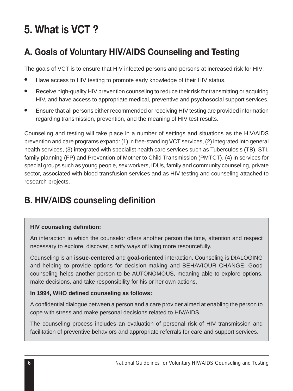# **5. What is VCT ?**

# **A. Goals of Voluntary HIV/AIDS Counseling and Testing**

The goals of VCT is to ensure that HIV-infected persons and persons at increased risk for HIV:

- Have access to HIV testing to promote early knowledge of their HIV status.
- Receive high-quality HIV prevention counseling to reduce their risk for transmitting or acquiring HIV, and have access to appropriate medical, preventive and psychosocial support services.
- Ensure that all persons either recommended or receiving HIV testing are provided information regarding transmission, prevention, and the meaning of HIV test results.

Counseling and testing will take place in a number of settings and situations as the HIV/AIDS prevention and care programs expand: (1) in free-standing VCT services, (2) integrated into general health services, (3) integrated with specialist health care services such as Tuberculosis (TB), STI, family planning (FP) and Prevention of Mother to Child Transmission (PMTCT), (4) in services for special groups such as young people, sex workers, IDUs, family and community counseling, private sector, associated with blood transfusion services and as HIV testing and counseling attached to research projects.

# **B. HIV/AIDS counseling definition**

#### **HIV counseling definition:**

An interaction in which the counselor offers another person the time, attention and respect necessary to explore, discover, clarify ways of living more resourcefully.

Counseling is an **issue-centered** and **goal-oriented** interaction. Counseling is DIALOGING and helping to provide options for decision-making and BEHAVIOUR CHANGE. Good counseling helps another person to be AUTONOMOUS, meaning able to explore options, make decisions, and take responsibility for his or her own actions.

#### **In 1994, WHO defined counseling as follows:**

A confidential dialogue between a person and a care provider aimed at enabling the person to cope with stress and make personal decisions related to HIV/AIDS.

The counseling process includes an evaluation of personal risk of HIV transmission and facilitation of preventive behaviors and appropriate referrals for care and support services.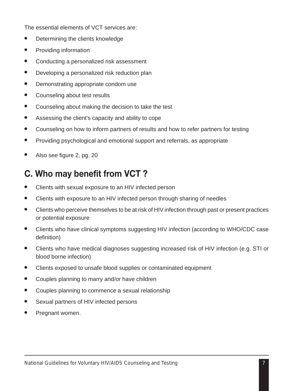The essential elements of VCT services are:

- Determining the clients knowledge
- Providing information
- Conducting a personalized risk assessment
- Developing a personalized risk reduction plan
- Demonstrating appropriate condom use
- Counseling about test results
- Counseling about making the decision to take the test
- Assessing the client's capacity and ability to cope
- Counseling on how to inform partners of results and how to refer partners for testing
- Providing psychological and emotional support and referrals, as appropriate
- Also see figure 2, pg. 20

# **C. Who may benefit from VCT ?**

- Clients with sexual exposure to an HIV infected person
- Clients with exposure to an HIV infected person through sharing of needles
- Clients who perceive themselves to be at risk of HIV infection through past or present practices or potential exposure
- Clients who have clinical symptoms suggesting HIV infection (according to WHO/CDC case definition)
- Clients who have medical diagnoses suggesting increased risk of HIV infection (e.g. STI or blood borne infection)
- Clients exposed to unsafe blood supplies or contaminated equipment
- Couples planning to marry and/or have children
- Couples planning to commence a sexual relationship
- Sexual partners of HIV infected persons
- Pregnant women.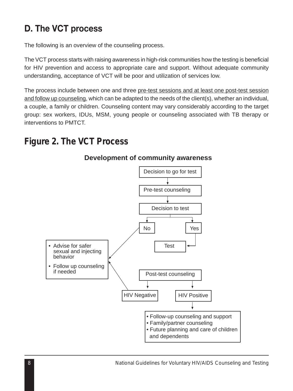# **D. The VCT process**

The following is an overview of the counseling process.

The VCT process starts with raising awareness in high-risk communities how the testing is beneficial for HIV prevention and access to appropriate care and support. Without adequate community understanding, acceptance of VCT will be poor and utilization of services low.

The process include between one and three pre-test sessions and at least one post-test session and follow up counseling, which can be adapted to the needs of the client(s), whether an individual, a couple, a family or children. Counseling content may vary considerably according to the target group: sex workers, IDUs, MSM, young people or counseling associated with TB therapy or interventions to PMTCT.

# *Figure 2. The VCT Process*



#### **Development of community awareness**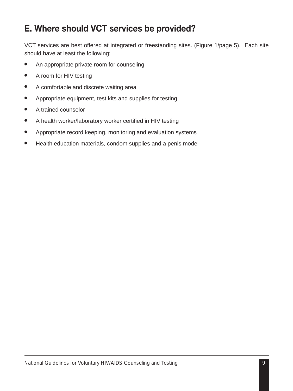# **E. Where should VCT services be provided?**

VCT services are best offered at integrated or freestanding sites. (Figure 1/page 5). Each site should have at least the following:

- An appropriate private room for counseling
- A room for HIV testing
- A comfortable and discrete waiting area
- Appropriate equipment, test kits and supplies for testing
- A trained counselor
- A health worker/laboratory worker certified in HIV testing
- Appropriate record keeping, monitoring and evaluation systems
- Health education materials, condom supplies and a penis model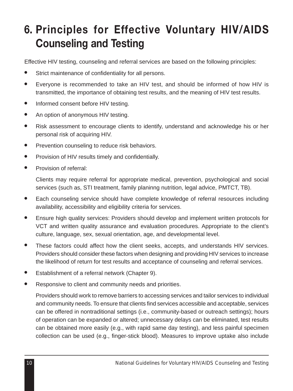# **6. Principles for Effective Voluntary HIV/AIDS Counseling and Testing**

Effective HIV testing, counseling and referral services are based on the following principles:

- Strict maintenance of confidentiality for all persons.
- Everyone is recommended to take an HIV test, and should be informed of how HIV is transmitted, the importance of obtaining test results, and the meaning of HIV test results.
- Informed consent before HIV testing.
- An option of anonymous HIV testing.
- Risk assessment to encourage clients to identify, understand and acknowledge his or her personal risk of acquiring HIV.
- Prevention counseling to reduce risk behaviors.
- Provision of HIV results timely and confidentially.
- Provision of referral:

Clients may require referral for appropriate medical, prevention, psychological and social services (such as, STI treatment, family planinng nutrition, legal advice, PMTCT, TB).

- Each counseling service should have complete knowledge of referral resources including availability, accessibility and eligibility criteria for services.
- Ensure high quality services: Providers should develop and implement written protocols for VCT and written quality assurance and evaluation procedures. Appropriate to the client's culture, language, sex, sexual orientation, age, and developmental level.
- These factors could affect how the client seeks, accepts, and understands HIV services. Providers should consider these factors when designing and providing HIV services to increase the likelihood of return for test results and acceptance of counseling and referral services.
- Establishment of a referral network (Chapter 9).
- Responsive to client and community needs and priorities.

Providers should work to remove barriers to accessing services and tailor services to individual and community needs. To ensure that clients find services accessible and acceptable, services can be offered in nontraditional settings (i.e., community-based or outreach settings); hours of operation can be expanded or altered; unnecessary delays can be eliminated, test results can be obtained more easily (e.g., with rapid same day testing), and less painful specimen collection can be used (e.g., finger-stick blood). Measures to improve uptake also include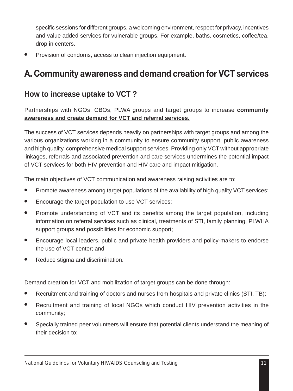specific sessions for different groups, a welcoming environment, respect for privacy, incentives and value added services for vulnerable groups. For example, baths, cosmetics, coffee/tea, drop in centers.

Provision of condoms, access to clean injection equipment.

# **A. Community awareness and demand creation for VCT services**

### **How to increase uptake to VCT ?**

Partnerships with NGOs, CBOs, PLWA groups and target groups to increase **community awareness and create demand for VCT and referral services.**

The success of VCT services depends heavily on partnerships with target groups and among the various organizations working in a community to ensure community support, public awareness and high quality, comprehensive medical support services. Providing only VCT without appropriate linkages, referrals and associated prevention and care services undermines the potential impact of VCT services for both HIV prevention and HIV care and impact mitigation.

The main objectives of VCT communication and awareness raising activities are to:

- Promote awareness among target populations of the availability of high quality VCT services;
- Encourage the target population to use VCT services;
- Promote understanding of VCT and its benefits among the target population, including information on referral services such as clinical, treatments of STI, family planning, PLWHA support groups and possibilities for economic support;
- Encourage local leaders, public and private health providers and policy-makers to endorse the use of VCT center; and
- Reduce stigma and discrimination.

Demand creation for VCT and mobilization of target groups can be done through:

- Recruitment and training of doctors and nurses from hospitals and private clinics (STI, TB);
- Recruitment and training of local NGOs which conduct HIV prevention activities in the community;
- Specially trained peer volunteers will ensure that potential clients understand the meaning of their decision to: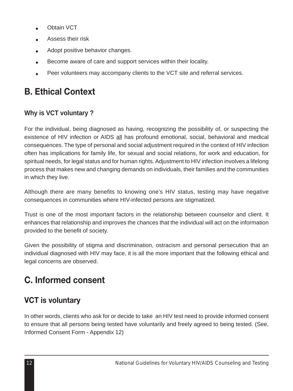- Obtain VCT
- Assess their risk
- Adopt positive behavior changes.
- Become aware of care and support services within their locality.
- Peer volunteers may accompany clients to the VCT site and referral services.

# **B. Ethical Context**

#### **Why is VCT voluntary ?**

For the individual, being diagnosed as having, recognizing the possibility of, or suspecting the existence of HIV infection or AIDS all has profound emotional, social, behavioral and medical consequences. The type of personal and social adjustment required in the context of HIV infection often has implications for family life, for sexual and social relations, for work and education, for spiritual needs, for legal status and for human rights. Adjustment to HIV infection involves a lifelong process that makes new and changing demands on individuals, their families and the communities in which they live.

Although there are many benefits to knowing one's HIV status, testing may have negative consequences in communities where HIV-infected persons are stigmatized.

Trust is one of the most important factors in the relationship between counselor and client. It enhances that relationship and improves the chances that the individual will act on the information provided to the benefit of society.

Given the possibility of stigma and discrimination, ostracism and personal persecution that an individual diagnosed with HIV may face, it is all the more important that the following ethical and legal concerns are observed.

# **C. Informed consent**

### **VCT is voluntary**

In other words, clients who ask for or decide to take an HIV test need to provide informed consent to ensure that all persons being tested have voluntarily and freely agreed to being tested. (See, Informed Consent Form - Appendix 12)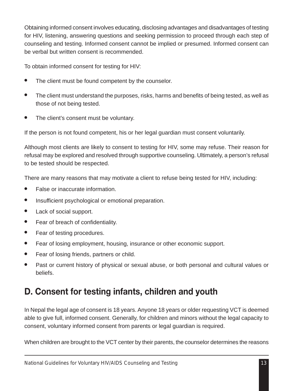Obtaining informed consent involves educating, disclosing advantages and disadvantages of testing for HIV, listening, answering questions and seeking permission to proceed through each step of counseling and testing. Informed consent cannot be implied or presumed. Informed consent can be verbal but written consent is recommended.

To obtain informed consent for testing for HIV:

- The client must be found competent by the counselor.
- The client must understand the purposes, risks, harms and benefits of being tested, as well as those of not being tested.
- The client's consent must be voluntary.

If the person is not found competent, his or her legal guardian must consent voluntarily.

Although most clients are likely to consent to testing for HIV, some may refuse. Their reason for refusal may be explored and resolved through supportive counseling. Ultimately, a person's refusal to be tested should be respected.

There are many reasons that may motivate a client to refuse being tested for HIV, including:

- False or inaccurate information.
- Insufficient psychological or emotional preparation.
- Lack of social support.
- Fear of breach of confidentiality.
- Fear of testing procedures.
- Fear of losing employment, housing, insurance or other economic support.
- Fear of losing friends, partners or child.
- Past or current history of physical or sexual abuse, or both personal and cultural values or beliefs.

### **D. Consent for testing infants, children and youth**

In Nepal the legal age of consent is 18 years. Anyone 18 years or older requesting VCT is deemed able to give full, informed consent. Generally, for children and minors without the legal capacity to consent, voluntary informed consent from parents or legal guardian is required.

When children are brought to the VCT center by their parents, the counselor determines the reasons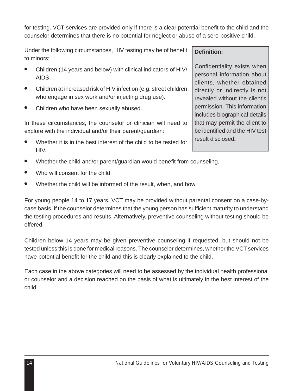for testing. VCT services are provided only if there is a clear potential benefit to the child and the counselor determines that there is no potential for neglect or abuse of a sero-positive child.

Under the following circumstances, HIV testing may be of benefit to minors:

- Children (14 years and below) with clinical indicators of HIV/ AIDS.
- Children at increased risk of HIV infection (e.g. street children who engage in sex work and/or injecting drug use).
- Children who have been sexually abused.

In these circumstances, the counselor or clinician will need to explore with the individual and/or their parent/guardian:

- Whether it is in the best interest of the child to be tested for HIV.
- Whether the child and/or parent/guardian would benefit from counseling.
- Who will consent for the child.
- Whether the child will be informed of the result, when, and how.

For young people 14 to 17 years, VCT may be provided without parental consent on a case-bycase basis, if the counselor determines that the young person has sufficient maturity to understand the testing procedures and results. Alternatively, preventive counseling without testing should be offered.

Children below 14 years may be given preventive counseling if requested, but should not be tested unless this is done for medical reasons. The counselor determines, whether the VCT services have potential benefit for the child and this is clearly explained to the child.

Each case in the above categories will need to be assessed by the individual health professional or counselor and a decision reached on the basis of what is ultimately in the best interest of the child.

#### **Definition:**

Confidentiality exists when personal information about clients, whether obtained directly or indirectly is not revealed without the client's permission. This information includes biographical details that may permit the client to be identified and the HIV test result disclosed**.**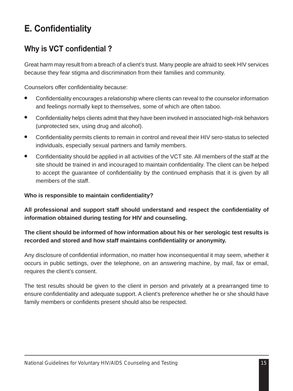# **E. Confidentiality**

### **Why is VCT confidential ?**

Great harm may result from a breach of a client's trust. Many people are afraid to seek HIV services because they fear stigma and discrimination from their families and community.

Counselors offer confidentiality because:

- Confidentiality encourages a relationship where clients can reveal to the counselor information and feelings normally kept to themselves, some of which are often taboo.
- Confidentiality helps clients admit that they have been involved in associated high-risk behaviors (unprotected sex, using drug and alcohol).
- Confidentiality permits clients to remain in control and reveal their HIV sero-status to selected individuals, especially sexual partners and family members.
- Confidentiality should be applied in all activities of the VCT site. All members of the staff at the site should be trained in and incouraged to maintain confidentiality. The client can be helped to accept the guarantee of confidentiality by the continued emphasis that it is given by all members of the staff.

#### **Who is responsible to maintain confidentiality?**

**All professional and support staff should understand and respect the confidentiality of information obtained during testing for HIV and counseling.**

#### **The client should be informed of how information about his or her serologic test results is recorded and stored and how staff maintains confidentiality or anonymity.**

Any disclosure of confidential information, no matter how inconsequential it may seem, whether it occurs in public settings, over the telephone, on an answering machine, by mail, fax or email, requires the client's consent.

The test results should be given to the client in person and privately at a prearranged time to ensure confidentiality and adequate support. A client's preference whether he or she should have family members or confidents present should also be respected.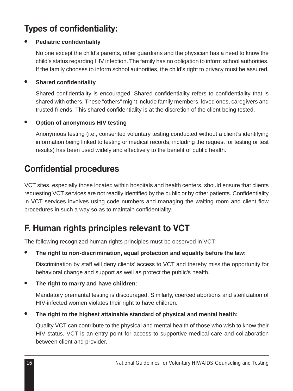# **Types of confidentiality:**

#### **Pediatric confidentiality**

No one except the child's parents, other guardians and the physician has a need to know the child's status regarding HIV infection. The family has no obligation to inform school authorities. If the family chooses to inform school authorities, the child's right to privacy must be assured.

#### **Shared confidentiality**

Shared confidentiality is encouraged. Shared confidentiality refers to confidentiality that is shared with others. These "others" might include family members, loved ones, caregivers and trusted friends. This shared confidentiality is at the discretion of the client being tested.

#### **Option of anonymous HIV testing**

Anonymous testing (i.e., consented voluntary testing conducted without a client's identifying information being linked to testing or medical records, including the request for testing or test results) has been used widely and effectively to the benefit of public health.

# **Confidential procedures**

VCT sites, especially those located within hospitals and health centers, should ensure that clients requesting VCT services are not readily identified by the public or by other patients. Confidentiality in VCT services involves using code numbers and managing the waiting room and client flow procedures in such a way so as to maintain confidentiality.

# **F. Human rights principles relevant to VCT**

The following recognized human rights principles must be observed in VCT:

The right to non-discrimination, equal protection and equality before the law:

Discrimination by staff will deny clients' access to VCT and thereby miss the opportunity for behavioral change and support as well as protect the public's health.

#### ● **The right to marry and have children:**

Mandatory premarital testing is discouraged. Similarly, coerced abortions and sterilization of HIV-infected women violates their right to have children.

● **The right to the highest attainable standard of physical and mental health:**

Quality VCT can contribute to the physical and mental health of those who wish to know their HIV status. VCT is an entry point for access to supportive medical care and collaboration between client and provider.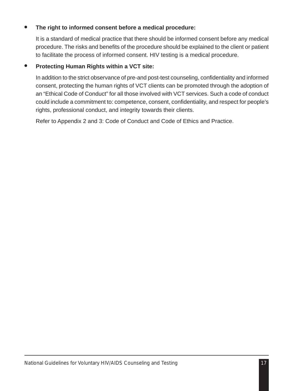#### The right to informed consent before a medical procedure:

It is a standard of medical practice that there should be informed consent before any medical procedure. The risks and benefits of the procedure should be explained to the client or patient to facilitate the process of informed consent. HIV testing is a medical procedure.

#### **Protecting Human Rights within a VCT site:**

In addition to the strict observance of pre-and post-test counseling, confidentiality and informed consent, protecting the human rights of VCT clients can be promoted through the adoption of an "Ethical Code of Conduct" for all those involved with VCT services. Such a code of conduct could include a commitment to: competence, consent, confidentiality, and respect for people's rights, professional conduct, and integrity towards their clients.

Refer to Appendix 2 and 3: Code of Conduct and Code of Ethics and Practice.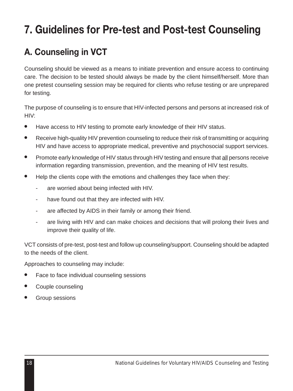# **7. Guidelines for Pre-test and Post-test Counseling**

# **A. Counseling in VCT**

Counseling should be viewed as a means to initiate prevention and ensure access to continuing care. The decision to be tested should always be made by the client himself/herself. More than one pretest counseling session may be required for clients who refuse testing or are unprepared for testing.

The purpose of counseling is to ensure that HIV-infected persons and persons at increased risk of HIV:

- Have access to HIV testing to promote early knowledge of their HIV status.
- Receive high-quality HIV prevention counseling to reduce their risk of transmitting or acquiring HIV and have access to appropriate medical, preventive and psychosocial support services.
- Promote early knowledge of HIV status through HIV testing and ensure that all persons receive information regarding transmission, prevention, and the meaning of HIV test results.
- Help the clients cope with the emotions and challenges they face when they:
	- are worried about being infected with HIV.
	- have found out that they are infected with HIV.
	- are affected by AIDS in their family or among their friend.
	- are living with HIV and can make choices and decisions that will prolong their lives and improve their quality of life.

VCT consists of pre-test, post-test and follow up counseling/support. Counseling should be adapted to the needs of the client.

Approaches to counseling may include:

- Face to face individual counseling sessions
- Couple counseling
- Group sessions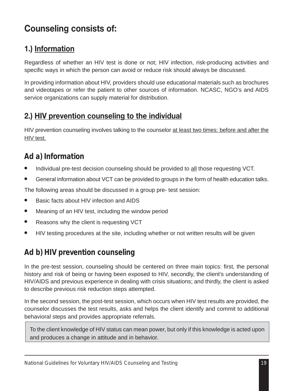### **Counseling consists of:**

### **1.) Information**

Regardless of whether an HIV test is done or not; HIV infection, risk-producing activities and specific ways in which the person can avoid or reduce risk should always be discussed.

In providing information about HIV, providers should use educational materials such as brochures and videotapes or refer the patient to other sources of information. NCASC, NGO's and AIDS service organizations can supply material for distribution.

### **2.) HIV prevention counseling to the individual**

HIV prevention counseling involves talking to the counselor at least two times: before and after the HIV test.

### *Ad a) Information*

- Individual pre-test decision counseling should be provided to all those requesting VCT.
- General information about VCT can be provided to groups in the form of health education talks.

The following areas should be discussed in a group pre- test session:

- Basic facts about HIV infection and AIDS
- Meaning of an HIV test, including the window period
- Reasons why the client is requesting VCT
- HIV testing procedures at the site, including whether or not written results will be given

### *Ad b) HIV prevention counseling*

In the pre-test session, counseling should be centered on three main topics: first, the personal history and risk of being or having been exposed to HIV, secondly, the client's understanding of HIV/AIDS and previous experience in dealing with crisis situations; and thirdly, the client is asked to describe previous risk reduction steps attempted.

In the second session, the post-test session, which occurs when HIV test results are provided, the counselor discusses the test results, asks and helps the client identify and commit to additional behavioral steps and provides appropriate referrals.

To the client knowledge of HIV status can mean power, but only if this knowledge is acted upon and produces a change in attitude and in behavior.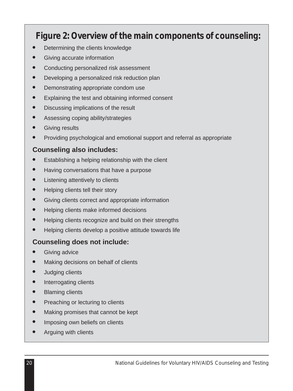# *Figure 2: Overview of the main components of counseling:*

- Determining the clients knowledge
- Giving accurate information
- Conducting personalized risk assessment
- Developing a personalized risk reduction plan
- Demonstrating appropriate condom use
- Explaining the test and obtaining informed consent
- Discussing implications of the result
- Assessing coping ability/strategies
- **Giving results**
- Providing psychological and emotional support and referral as appropriate

#### **Counseling also includes:**

- Establishing a helping relationship with the client
- Having conversations that have a purpose
- Listening attentively to clients
- Helping clients tell their story
- Giving clients correct and appropriate information
- Helping clients make informed decisions
- Helping clients recognize and build on their strengths
- Helping clients develop a positive attitude towards life

#### **Counseling does not include:**

- **Giving advice**
- Making decisions on behalf of clients
- Judging clients
- Interrogating clients
- Blaming clients
- Preaching or lecturing to clients
- Making promises that cannot be kept
- Imposing own beliefs on clients
- Arguing with clients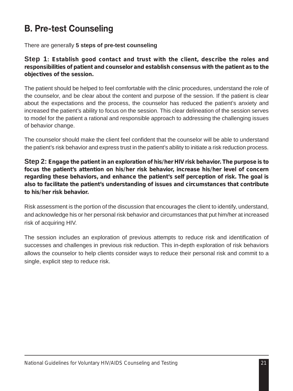# **B. Pre-test Counseling**

There are generally **5 steps of pre-test counseling**

**Step 1:** *Establish good contact and trust with the client, describe the roles and responsibilities of patient and counselor and establish consensus with the patient as to the objectives of the session.*

The patient should be helped to feel comfortable with the clinic procedures, understand the role of the counselor, and be clear about the content and purpose of the session. If the patient is clear about the expectations and the process, the counselor has reduced the patient's anxiety and increased the patient's ability to focus on the session. This clear delineation of the session serves to model for the patient a rational and responsible approach to addressing the challenging issues of behavior change.

The counselor should make the client feel confident that the counselor will be able to understand the patient's risk behavior and express trust in the patient's ability to initiate a risk reduction process.

**Step 2:** *Engage the patient in an exploration of his/her HIV risk behavior. The purpose is to focus the patient's attention on his/her risk behavior, increase his/her level of concern regarding these behaviors, and enhance the patient's self perception of risk. The goal is also to facilitate the patient's understanding of issues and circumstances that contribute to his/her risk behavior.*

Risk assessment is the portion of the discussion that encourages the client to identify, understand, and acknowledge his or her personal risk behavior and circumstances that put him/her at increased risk of acquiring HIV.

The session includes an exploration of previous attempts to reduce risk and identification of successes and challenges in previous risk reduction. This in-depth exploration of risk behaviors allows the counselor to help clients consider ways to reduce their personal risk and commit to a single, explicit step to reduce risk.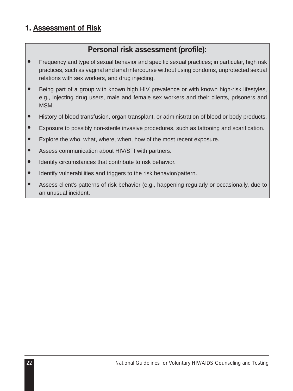#### **1. Assessment of Risk**

### **Personal risk assessment (profile):**

- Frequency and type of sexual behavior and specific sexual practices; in particular, high risk practices, such as vaginal and anal intercourse without using condoms, unprotected sexual relations with sex workers, and drug injecting.
- Being part of a group with known high HIV prevalence or with known high-risk lifestyles, e.g., injecting drug users, male and female sex workers and their clients, prisoners and MSM.
- History of blood transfusion, organ transplant, or administration of blood or body products.
- Exposure to possibly non-sterile invasive procedures, such as tattooing and scarification.
- Explore the who, what, where, when, how of the most recent exposure.
- Assess communication about HIV/STI with partners.
- Identify circumstances that contribute to risk behavior.
- Identify vulnerabilities and triggers to the risk behavior/pattern.
- Assess client's patterns of risk behavior (e.g., happening regularly or occasionally, due to an unusual incident.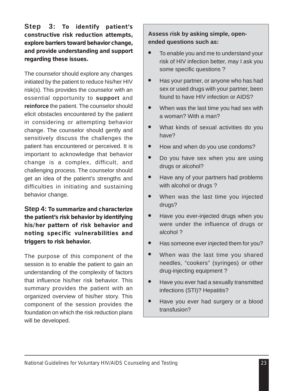**Step 3:** *To identify patient's constructive risk reduction attempts, explore barriers toward behavior change, and provide understanding and support regarding these issues.*

The counselor should explore any changes initiated by the patient to reduce his/her HIV risk(s). This provides the counselor with an essential opportunity to **support** and **reinforce** the patient. The counselor should elicit obstacles encountered by the patient in considering or attempting behavior change. The counselor should gently and sensitively discuss the challenges the patient has encountered or perceived. It is important to acknowledge that behavior change is a complex, difficult, and challenging process. The counselor should get an idea of the patient's strengths and difficulties in initiating and sustaining behavior change.

**Step 4:** *To summarize and characterize the patient's risk behavior by identifying his/her pattern of risk behavior and noting specific vulnerabilities and triggers to risk behavior.*

The purpose of this component of the session is to enable the patient to gain an understanding of the complexity of factors that influence his/her risk behavior. This summary provides the patient with an organized overview of his/her story. This component of the session provides the foundation on which the risk reduction plans will be developed.

#### **Assess risk by asking simple, openended questions such as:**

- To enable you and me to understand your risk of HIV infection better, may I ask you some specific questions ?
- Has your partner, or anyone who has had sex or used drugs with your partner, been found to have HIV infection or AIDS?
- When was the last time you had sex with a woman? With a man?
- What kinds of sexual activities do you have?
- How and when do you use condoms?
- Do you have sex when you are using drugs or alcohol?
- Have any of your partners had problems with alcohol or drugs ?
- When was the last time you injected drugs?
- Have you ever-injected drugs when you were under the influence of drugs or alcohol ?
- Has someone ever injected them for you?
- When was the last time you shared needles, "cookers" (syringes) or other drug-injecting equipment ?
- Have you ever had a sexually transmitted infections (STI)? Hepatitis?
- Have you ever had surgery or a blood transfusion?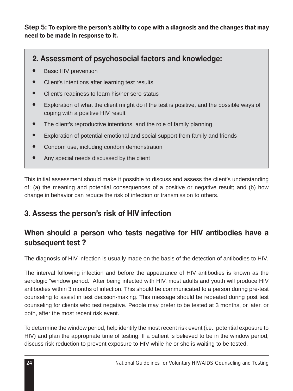**Step 5:** *To explore the person's ability to cope with a diagnosis and the changes that may need to be made in response to it.*

#### **2. Assessment of psychosocial factors and knowledge:**

- **Basic HIV prevention**
- Client's intentions after learning test results
- Client's readiness to learn his/her sero-status
- Exploration of what the client mi ght do if the test is positive, and the possible ways of coping with a positive HIV result
- The client's reproductive intentions, and the role of family planning
- Exploration of potential emotional and social support from family and friends
- Condom use, including condom demonstration
- Any special needs discussed by the client

This initial assessment should make it possible to discuss and assess the client's understanding of: (a) the meaning and potential consequences of a positive or negative result; and (b) how change in behavior can reduce the risk of infection or transmission to others.

#### **3. Assess the person's risk of HIV infection**

#### **When should a person who tests negative for HIV antibodies have a subsequent test ?**

The diagnosis of HIV infection is usually made on the basis of the detection of antibodies to HIV.

The interval following infection and before the appearance of HIV antibodies is known as the serologic "window period." After being infected with HIV, most adults and youth will produce HIV antibodies within 3 months of infection. This should be communicated to a person during pre-test counseling to assist in test decision-making. This message should be repeated during post test counseling for clients who test negative. People may prefer to be tested at 3 months, or later, or both, after the most recent risk event.

To determine the window period, help identify the most recent risk event (i.e., potential exposure to HIV) and plan the appropriate time of testing. If a patient is believed to be in the window period, discuss risk reduction to prevent exposure to HIV while he or she is waiting to be tested.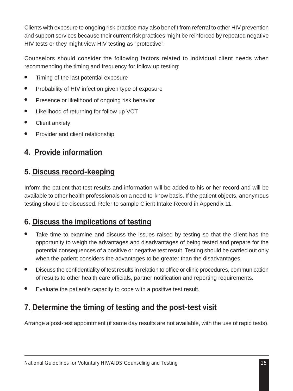Clients with exposure to ongoing risk practice may also benefit from referral to other HIV prevention and support services because their current risk practices might be reinforced by repeated negative HIV tests or they might view HIV testing as "protective".

Counselors should consider the following factors related to individual client needs when recommending the timing and frequency for follow up testing:

- Timing of the last potential exposure
- Probability of HIV infection given type of exposure
- Presence or likelihood of ongoing risk behavior
- Likelihood of returning for follow up VCT
- **Client anxiety**
- Provider and client relationship

## **4. Provide information**

### **5. Discuss record-keeping**

Inform the patient that test results and information will be added to his or her record and will be available to other health professionals on a need-to-know basis. If the patient objects, anonymous testing should be discussed. Refer to sample Client Intake Record in Appendix 11.

### **6. Discuss the implications of testing**

- Take time to examine and discuss the issues raised by testing so that the client has the opportunity to weigh the advantages and disadvantages of being tested and prepare for the potential consequences of a positive or negative test result. Testing should be carried out only when the patient considers the advantages to be greater than the disadvantages.
- Discuss the confidentiality of test results in relation to office or clinic procedures, communication of results to other health care officials, partner notification and reporting requirements.
- Evaluate the patient's capacity to cope with a positive test result.

## **7. Determine the timing of testing and the post-test visit**

Arrange a post-test appointment (if same day results are not available, with the use of rapid tests).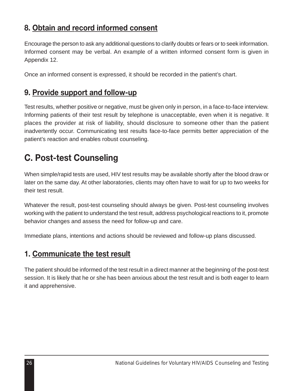### **8. Obtain and record informed consent**

Encourage the person to ask any additional questions to clarify doubts or fears or to seek information. Informed consent may be verbal. An example of a written informed consent form is given in Appendix 12.

Once an informed consent is expressed, it should be recorded in the patient's chart.

### **9. Provide support and follow-up**

Test results, whether positive or negative, must be given only in person, in a face-to-face interview. Informing patients of their test result by telephone is unacceptable, even when it is negative. It places the provider at risk of liability, should disclosure to someone other than the patient inadvertently occur. Communicating test results face-to-face permits better appreciation of the patient's reaction and enables robust counseling.

## **C. Post-test Counseling**

When simple/rapid tests are used, HIV test results may be available shortly after the blood draw or later on the same day. At other laboratories, clients may often have to wait for up to two weeks for their test result.

Whatever the result, post-test counseling should always be given. Post-test counseling involves working with the patient to understand the test result, address psychological reactions to it, promote behavior changes and assess the need for follow-up and care.

Immediate plans, intentions and actions should be reviewed and follow-up plans discussed.

### **1. Communicate the test result**

The patient should be informed of the test result in a direct manner at the beginning of the post-test session. It is likely that he or she has been anxious about the test result and is both eager to learn it and apprehensive.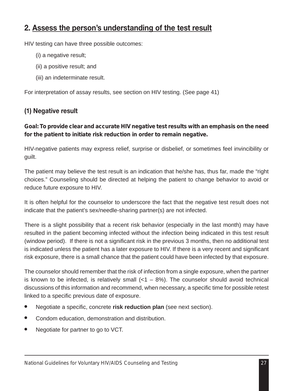### **2. Assess the person's understanding of the test result**

HIV testing can have three possible outcomes:

- (i) a negative result;
- (ii) a positive result; and
- (iii) an indeterminate result.

For interpretation of assay results, see section on HIV testing. (See page 41)

### **(1) Negative result**

#### *Goal: To provide clear and accurate HIV negative test results with an emphasis on the need for the patient to initiate risk reduction in order to remain negative.*

HIV-negative patients may express relief, surprise or disbelief, or sometimes feel invincibility or guilt.

The patient may believe the test result is an indication that he/she has, thus far, made the "right choices." Counseling should be directed at helping the patient to change behavior to avoid or reduce future exposure to HIV.

It is often helpful for the counselor to underscore the fact that the negative test result does not indicate that the patient's sex/needle-sharing partner(s) are not infected.

There is a slight possibility that a recent risk behavior (especially in the last month) may have resulted in the patient becoming infected without the infection being indicated in this test result (window period). If there is not a significant risk in the previous 3 months, then no additional test is indicated unless the patient has a later exposure to HIV. If there is a very recent and significant risk exposure, there is a small chance that the patient could have been infected by that exposure.

The counselor should remember that the risk of infection from a single exposure, when the partner is known to be infected, is relatively small  $\left($  < 1 – 8%). The counselor should avoid technical discussions of this information and recommend, when necessary, a specific time for possible retest linked to a specific previous date of exposure.

- Negotiate a specific, concrete risk reduction plan (see next section).
- Condom education, demonstration and distribution.
- Negotiate for partner to go to VCT.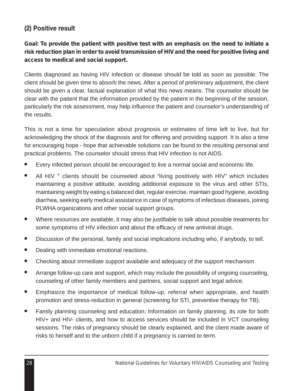### **(2) Positive result**

### *Goal: To provide the patient with positive test with an emphasis on the need to initiate a risk reduction plan in order to avoid transmission of HIV and the need for positive living and access to medical and social support.*

Clients diagnosed as having HIV infection or disease should be told as soon as possible. The client should be given time to absorb the news. After a period of preliminary adjustment, the client should be given a clear, factual explanation of what this news means. The counselor should be clear with the patient that the information provided by the patient in the beginning of the session, particularly the risk assessment, may help influence the patient and counselor's understanding of the results.

This is not a time for speculation about prognosis or estimates of time left to live, but for acknowledging the shock of the diagnosis and for offering and providing support. It is also a time for encouraging hope - hope that achievable solutions can be found to the resulting personal and practical problems. The counselor should stress that HIV infection is not AIDS.

- Every infected person should be encouraged to live a normal social and economic life.
- All HIV  $^+$  clients should be counseled about "living positively with HIV" which includes maintaining a positive attitude, avoiding additional exposure to the virus and other STIs, maintaining weight by eating a balanced diet, regular exercise, maintain good hygiene, avoiding diarrhea, seeking early medical assistance in case of symptoms of infectious diseases, joining PLWHA organizations and other social support groups.
- Where resources are available, it may also be justifiable to talk about possible treatments for some symptoms of HIV infection and about the efficacy of new antiviral drugs.
- Discussion of the personal, family and social implications including who, if anybody, to tell.
- Dealing with immediate emotional reactions.
- Checking about immediate support available and adequacy of the support mechanism
- Arrange follow-up care and support, which may include the possibility of ongoing counseling, counseling of other family members and partners, social support and legal advice.
- Emphasize the importance of medical follow-up, referral when appropriate, and health promotion and stress-reduction in general (screening for STI, preventive therapy for TB).
- Family planning counseling and education: Information on family planning, its role for both HIV+ and HIV- clients, and how to access services should be included in VCT counseling sessions. The risks of pregnancy should be clearly explained, and the client made aware of risks to herself and to the unborn child if a pregnancy is carried to term.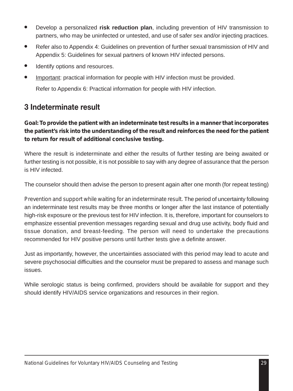- Develop a personalized **risk reduction plan**, including prevention of HIV transmission to partners, who may be uninfected or untested, and use of safer sex and/or injecting practices.
- Refer also to Appendix 4: Guidelines on prevention of further sexual transmission of HIV and Appendix 5: Guidelines for sexual partners of known HIV infected persons.
- Identify options and resources.
- Important: practical information for people with HIV infection must be provided.

Refer to Appendix 6: Practical information for people with HIV infection.

### **3 Indeterminate result**

*Goal: To provide the patient with an indeterminate test results in a manner that incorporates the patient's risk into the understanding of the result and reinforces the need for the patient to return for result of additional conclusive testing.*

Where the result is indeterminate and either the results of further testing are being awaited or further testing is not possible, it is not possible to say with any degree of assurance that the person is HIV infected.

The counselor should then advise the person to present again after one month (for repeat testing)

*Prevention and support while waiting for an indeterminate result.* The period of uncertainty following an indeterminate test results may be three months or longer after the last instance of potentially high-risk exposure or the previous test for HIV infection. It is, therefore, important for counselors to emphasize essential prevention messages regarding sexual and drug use activity, body fluid and tissue donation, and breast-feeding. The person will need to undertake the precautions recommended for HIV positive persons until further tests give a definite answer.

Just as importantly, however, the uncertainties associated with this period may lead to acute and severe psychosocial difficulties and the counselor must be prepared to assess and manage such issues.

While serologic status is being confirmed, providers should be available for support and they should identify HIV/AIDS service organizations and resources in their region.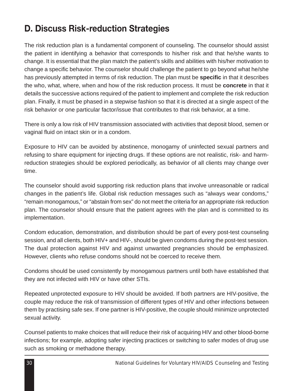## **D. Discuss Risk-reduction Strategies**

The risk reduction plan is a fundamental component of counseling. The counselor should assist the patient in identifying a behavior that corresponds to his/her risk and that he/she wants to change. It is essential that the plan match the patient's skills and abilities with his/her motivation to change a specific behavior. The counselor should challenge the patient to go beyond what he/she has previously attempted in terms of risk reduction. The plan must be **specific** in that it describes the who, what, where, when and how of the risk reduction process. It must be **concrete** in that it details the successive actions required of the patient to implement and complete the risk reduction plan. Finally, it must be phased in a stepwise fashion so that it is directed at a single aspect of the risk behavior or one particular factor/issue that contributes to that risk behavior, at a time.

There is only a low risk of HIV transmission associated with activities that deposit blood, semen or vaginal fluid on intact skin or in a condom.

Exposure to HIV can be avoided by abstinence, monogamy of uninfected sexual partners and refusing to share equipment for injecting drugs. If these options are not realistic, risk- and harmreduction strategies should be explored periodically, as behavior of all clients may change over time.

The counselor should avoid supporting risk reduction plans that involve unreasonable or radical changes in the patient's life. Global risk reduction messages such as "always wear condoms," "remain monogamous," or "abstain from sex" do not meet the criteria for an appropriate risk reduction plan. The counselor should ensure that the patient agrees with the plan and is committed to its implementation.

Condom education, demonstration, and distribution should be part of every post-test counseling session, and all clients, both HIV+ and HIV-, should be given condoms during the post-test session. The dual protection against HIV and against unwanted pregnancies should be emphasized. However, clients who refuse condoms should not be coerced to receive them.

Condoms should be used consistently by monogamous partners until both have established that they are not infected with HIV or have other STIs.

Repeated unprotected exposure to HIV should be avoided. If both partners are HIV-positive, the couple may reduce the risk of transmission of different types of HIV and other infections between them by practising safe sex. If one partner is HIV-positive, the couple should minimize unprotected sexual activity.

Counsel patients to make choices that will reduce their risk of acquiring HIV and other blood-borne infections; for example, adopting safer injecting practices or switching to safer modes of drug use such as smoking or methadone therapy.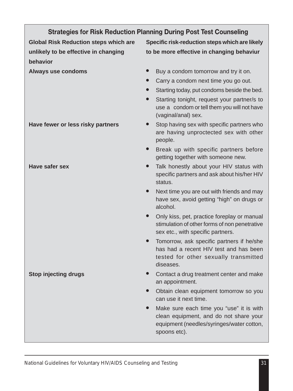| <b>Strategies for Risk Reduction Planning During Post Test Counseling</b> |                                                                                                                                                                                                                                                               |  |  |
|---------------------------------------------------------------------------|---------------------------------------------------------------------------------------------------------------------------------------------------------------------------------------------------------------------------------------------------------------|--|--|
| <b>Global Risk Reduction steps which are</b>                              | Specific risk-reduction steps which are likely                                                                                                                                                                                                                |  |  |
| unlikely to be effective in changing<br>behavior                          | to be more effective in changing behaviur                                                                                                                                                                                                                     |  |  |
| <b>Always use condoms</b>                                                 | Buy a condom tomorrow and try it on.<br>Carry a condom next time you go out.<br>Starting today, put condoms beside the bed.<br>Starting tonight, request your partner/s to<br>$\bullet$<br>use a condom or tell them you will not have<br>(vaginal/anal) sex. |  |  |
| Have fewer or less risky partners                                         | Stop having sex with specific partners who<br>$\bullet$<br>are having unproctected sex with other<br>people.<br>Break up with specific partners before<br>$\bullet$<br>getting together with someone new.                                                     |  |  |
| <b>Have safer sex</b>                                                     | Talk honestly about your HIV status with<br>$\bullet$<br>specific partners and ask about his/her HIV<br>status.                                                                                                                                               |  |  |
|                                                                           | Next time you are out with friends and may<br>$\bullet$<br>have sex, avoid getting "high" on drugs or<br>alcohol.                                                                                                                                             |  |  |
|                                                                           | Only kiss, pet, practice foreplay or manual<br>$\bullet$<br>stimulation of other forms of non penetrative<br>sex etc., with specific partners.                                                                                                                |  |  |
|                                                                           | Tomorrow, ask specific partners if he/she<br>$\bullet$<br>has had a recent HIV test and has been<br>tested for other sexually transmitted<br>diseases.                                                                                                        |  |  |
| <b>Stop injecting drugs</b>                                               | Contact a drug treatment center and make<br>an appointment.                                                                                                                                                                                                   |  |  |
|                                                                           | Obtain clean equipment tomorrow so you<br>can use it next time.                                                                                                                                                                                               |  |  |
|                                                                           | Make sure each time you "use" it is with<br>clean equipment, and do not share your<br>equipment (needles/syringes/water cotton,<br>spoons etc).                                                                                                               |  |  |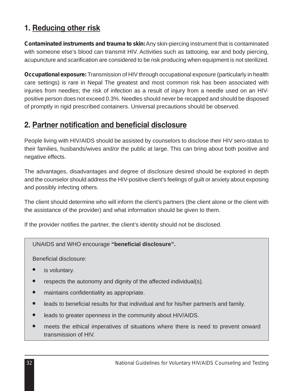### **1. Reducing other risk**

*Contaminated instruments and trauma to skin:*Any skin-piercing instrument that is contaminated with someone else's blood can transmit HIV. Activities such as tattooing, ear and body piercing, acupuncture and scarification are considered to be risk producing when equipment is not sterilized.

*Occupational exposure:* Transmission of HIV through occupational exposure (particularly in health care settings) is rare in Nepal The greatest and most common risk has been associated with injuries from needles; the risk of infection as a result of injury from a needle used on an HIVpositive person does not exceed 0.3%. Needles should never be recapped and should be disposed of promptly in rigid prescribed containers. Universal precautions should be observed.

### **2. Partner notification and beneficial disclosure**

People living with HIV/AIDS should be assisted by counselors to disclose their HIV sero-status to their families, husbands/wives and/or the public at large. This can bring about both positive and negative effects.

The advantages, disadvantages and degree of disclosure desired should be explored in depth and the counselor should address the HIV-positive client's feelings of guilt or anxiety about exposing and possibly infecting others.

The client should determine who will inform the client's partners (the client alone or the client with the assistance of the provider) and what information should be given to them.

If the provider notifies the partner, the client's identity should not be disclosed.

UNAIDS and WHO encourage **"beneficial disclosure".**

Beneficial disclosure:

- is voluntary.
- respects the autonomy and dignity of the affected individual(s).
- maintains confidentiality as appropriate.
- leads to beneficial results for that individual and for his/her partner/s and family.
- leads to greater openness in the community about HIV/AIDS.
- meets the ethical imperatives of situations where there is need to prevent onward transmission of HIV.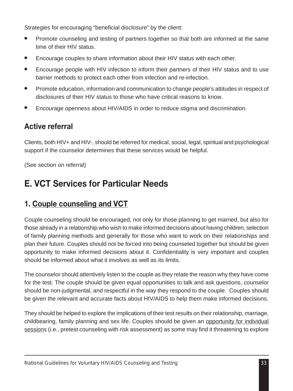Strategies for encouraging "beneficial disclosure" by the client:

- Promote counseling and testing of partners together so that both are informed at the same time of their HIV status.
- Encourage couples to share information about their HIV status with each other.
- Encourage people with HIV infection to inform their partners of their HIV status and to use barrier methods to protect each other from infection and re-infection.
- Promote education, information and communication to change people's attitudes in respect of disclosures of their HIV status to those who have critical reasons to know.
- Encourage openness about HIV/AIDS in order to reduce stigma and discrimination.

## **Active referral**

Clients, both HIV+ and HIV-, should be referred for medical, social, legal, spiritual and psychological support if the counselor determines that these services would be helpful.

(See section on referral)

## **E. VCT Services for Particular Needs**

## **1. Couple counseling and VCT**

Couple counseling should be encouraged, not only for those planning to get married, but also for those already in a relationship who wish to make informed decisions about having children, selection of family planning methods and generally for those who want to work on their relationships and plan their future. Couples should not be forced into being counseled together but should be given opportunity to make informed decisions about it. Confidentiality is very important and couples should be informed about what it involves as well as its limits.

The counselor should attentively listen to the couple as they relate the reason why they have come for the test. The couple should be given equal opportunities to talk and ask questions, counselor should be non-judgmental, and respectful in the way they respond to the couple. Couples should be given the relevant and accurate facts about HIV/AIDS to help them make informed decisions.

They should be helped to explore the implications of their test results on their relationship, marriage, childbearing, family planning and sex life. Couples should be given an opportunity for individual sessions (i.e., pretest counseling with risk assessment) as some may find it threatening to explore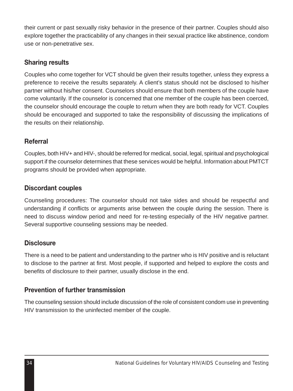their current or past sexually risky behavior in the presence of their partner. Couples should also explore together the practicability of any changes in their sexual practice like abstinence, condom use or non-penetrative sex.

### **Sharing results**

Couples who come together for VCT should be given their results together, unless they express a preference to receive the results separately. A client's status should not be disclosed to his/her partner without his/her consent. Counselors should ensure that both members of the couple have come voluntarily. If the counselor is concerned that one member of the couple has been coerced, the counselor should encourage the couple to return when they are both ready for VCT. Couples should be encouraged and supported to take the responsibility of discussing the implications of the results on their relationship.

### **Referral**

Couples, both HIV+ and HIV-, should be referred for medical, social, legal, spiritual and psychological support if the counselor determines that these services would be helpful. Information about PMTCT programs should be provided when appropriate.

### **Discordant couples**

Counseling procedures: The counselor should not take sides and should be respectful and understanding if conflicts or arguments arise between the couple during the session. There is need to discuss window period and need for re-testing especially of the HIV negative partner. Several supportive counseling sessions may be needed.

### **Disclosure**

There is a need to be patient and understanding to the partner who is HIV positive and is reluctant to disclose to the partner at first. Most people, if supported and helped to explore the costs and benefits of disclosure to their partner, usually disclose in the end.

### **Prevention of further transmission**

The counseling session should include discussion of the role of consistent condom use in preventing HIV transmission to the uninfected member of the couple.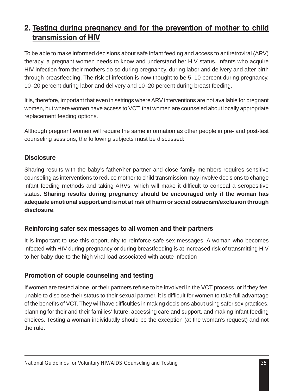### **2. Testing during pregnancy and for the prevention of mother to child transmission of HIV**

To be able to make informed decisions about safe infant feeding and access to antiretroviral (ARV) therapy, a pregnant women needs to know and understand her HIV status. Infants who acquire HIV infection from their mothers do so during pregnancy, during labor and delivery and after birth through breastfeeding. The risk of infection is now thought to be 5–10 percent during pregnancy, 10–20 percent during labor and delivery and 10–20 percent during breast feeding.

It is, therefore, important that even in settings where ARV interventions are not available for pregnant women, but where women have access to VCT, that women are counseled about locally appropriate replacement feeding options.

Although pregnant women will require the same information as other people in pre- and post-test counseling sessions, the following subjects must be discussed:

### **Disclosure**

Sharing results with the baby's father/her partner and close family members requires sensitive counseling as interventions to reduce mother to child transmission may involve decisions to change infant feeding methods and taking ARVs, which will make it difficult to conceal a seropositive status. **Sharing results during pregnancy should be encouraged only if the woman has adequate emotional support and is not at risk of harm or social ostracism/exclusion through disclosure**.

#### **Reinforcing safer sex messages to all women and their partners**

It is important to use this opportunity to reinforce safe sex messages. A woman who becomes infected with HIV during pregnancy or during breastfeeding is at increased risk of transmitting HIV to her baby due to the high viral load associated with acute infection

### **Promotion of couple counseling and testing**

If women are tested alone, or their partners refuse to be involved in the VCT process, or if they feel unable to disclose their status to their sexual partner, it is difficult for women to take full advantage of the benefits of VCT. They will have difficulties in making decisions about using safer sex practices, planning for their and their families' future, accessing care and support, and making infant feeding choices. Testing a woman individually should be the exception (at the woman's request) and not the rule.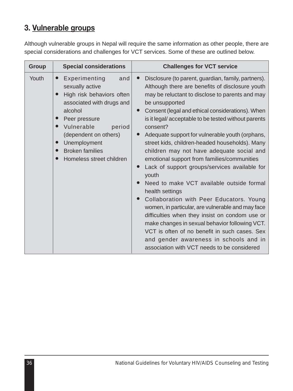## **3. Vulnerable groups**

Although vulnerable groups in Nepal will require the same information as other people, there are special considerations and challenges for VCT services. Some of these are outlined below.

| Group | <b>Special considerations</b>                                                                                                                                                                                                                                                                            | <b>Challenges for VCT service</b>                                                                                                                                                                                                                                                                                                                                                                                                                                                                                                                                                                                                                                                                                                                                                                                                                                                                                                                                            |  |  |
|-------|----------------------------------------------------------------------------------------------------------------------------------------------------------------------------------------------------------------------------------------------------------------------------------------------------------|------------------------------------------------------------------------------------------------------------------------------------------------------------------------------------------------------------------------------------------------------------------------------------------------------------------------------------------------------------------------------------------------------------------------------------------------------------------------------------------------------------------------------------------------------------------------------------------------------------------------------------------------------------------------------------------------------------------------------------------------------------------------------------------------------------------------------------------------------------------------------------------------------------------------------------------------------------------------------|--|--|
| Youth | Experimenting<br>and<br>$\bullet$<br>sexually active<br>High risk behaviors often<br>associated with drugs and<br>alcohol<br>Peer pressure<br>Vulnerable<br>period<br>$\bullet$<br>(dependent on others)<br>Unemployment<br>$\bullet$<br><b>Broken families</b><br>$\bullet$<br>Homeless street children | Disclosure (to parent, guardian, family, partners).<br>Although there are benefits of disclosure youth<br>may be reluctant to disclose to parents and may<br>be unsupported<br>Consent (legal and ethical considerations). When<br>is it legal/acceptable to be tested without parents<br>consent?<br>Adequate support for vulnerable youth (orphans,<br>street kids, children-headed households). Many<br>children may not have adequate social and<br>emotional support from families/communities<br>Lack of support groups/services available for<br>youth<br>Need to make VCT available outside formal<br>health settings<br>Collaboration with Peer Educators. Young<br>women, in particular, are vulnerable and may face<br>difficulties when they insist on condom use or<br>make changes in sexual behavior following VCT.<br>VCT is often of no benefit in such cases. Sex<br>and gender awareness in schools and in<br>association with VCT needs to be considered |  |  |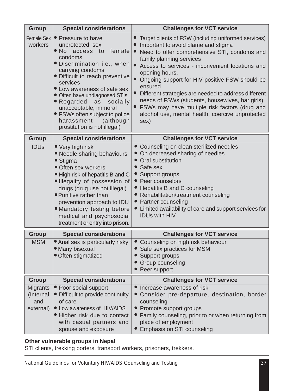| <b>Group</b>                              | <b>Special considerations</b>                                                                                                                                                                                                                                                                                                                                                                                      | <b>Challenges for VCT service</b>                                                                                                                                                                                                                                                                                                                                                                                                                                                                                                 |  |  |  |
|-------------------------------------------|--------------------------------------------------------------------------------------------------------------------------------------------------------------------------------------------------------------------------------------------------------------------------------------------------------------------------------------------------------------------------------------------------------------------|-----------------------------------------------------------------------------------------------------------------------------------------------------------------------------------------------------------------------------------------------------------------------------------------------------------------------------------------------------------------------------------------------------------------------------------------------------------------------------------------------------------------------------------|--|--|--|
| Female Sex<br>workers                     | • Pressure to have<br>unprotected sex<br>$\bullet$ No<br>female<br>access<br>to<br>condoms<br>· Discrimination i.e., when<br>carrying condoms<br>· Difficult to reach preventive<br>services<br>• Low awareness of safe sex<br>• Often have undiagnosed STIs<br>• Regarded<br>socially<br>as<br>unacceptable, immoral<br>• FSWs often subject to police<br>harassment<br>(although<br>prostitution is not illegal) | Target clients of FSW (including uniformed services)<br>Important to avoid blame and stigma<br>Need to offer comprehensive STI, condoms and<br>family planning services<br>Access to services - inconvenient locations and<br>opening hours.<br>Ongoing support for HIV positive FSW should be<br>ensured<br>Different strategies are needed to address different<br>needs of FSWs (students, housewives, bar girls)<br>FSWs may have multiple risk factors (drug and<br>alcohol use, mental health, coercive unprotected<br>sex) |  |  |  |
| Group                                     | <b>Special considerations</b>                                                                                                                                                                                                                                                                                                                                                                                      | <b>Challenges for VCT service</b>                                                                                                                                                                                                                                                                                                                                                                                                                                                                                                 |  |  |  |
| <b>IDUs</b>                               | • Very high risk<br>• Needle sharing behaviours<br>• Stigma<br>· Often sex workers<br>. High risk of hepatitis B and C<br>· Illegality of possession of<br>drugs (drug use not illegal)<br>• Punitive rather than<br>prevention approach to IDU<br>· Mandatory testing before<br>medical and psychosocial<br>treatment or entry into prison.                                                                       | • Counseling on clean sterilized needles<br>• On decreased sharing of needles<br>• Oral substitution<br>• Safe sex<br>• Support groups<br>• Peer counselors<br>Hepatitis B and C counseling<br>• Rehabilitation/treatment counseling<br>Partner counseling<br>• Limited availability of care and support services for<br><b>IDUs with HIV</b>                                                                                                                                                                                     |  |  |  |
| Group                                     | <b>Special considerations</b>                                                                                                                                                                                                                                                                                                                                                                                      | <b>Challenges for VCT service</b>                                                                                                                                                                                                                                                                                                                                                                                                                                                                                                 |  |  |  |
| <b>MSM</b>                                | • Anal sex is particularly risky<br>· Many bisexual<br>· Often stigmatized                                                                                                                                                                                                                                                                                                                                         | Counseling on high risk behaviour<br>Safe sex practices for MSM<br>• Support groups<br>• Group counseling<br>• Peer support                                                                                                                                                                                                                                                                                                                                                                                                       |  |  |  |
| Group                                     | <b>Special considerations</b>                                                                                                                                                                                                                                                                                                                                                                                      | <b>Challenges for VCT service</b>                                                                                                                                                                                                                                                                                                                                                                                                                                                                                                 |  |  |  |
| Migrants<br>(Internal<br>and<br>external) | • Poor social support<br>• Difficult to provide continuity<br>of care<br>• Low awareness of HIV/AIDS<br>• Higher risk due to contact<br>with casual partners and<br>spouse and exposure                                                                                                                                                                                                                            | • Increase awareness of risk<br>• Consider pre-departure, destination, border<br>counseling<br>• Promote support groups<br>• Family counseling, prior to or when returning from<br>place of employment<br>Emphasis on STI counseling                                                                                                                                                                                                                                                                                              |  |  |  |

#### **Other vulnerable groups in Nepal**

STI clients, trekking porters, transport workers, prisoners, trekkers.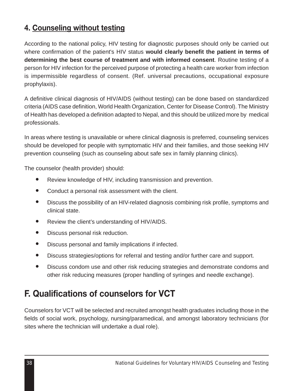### **4. Counseling without testing**

According to the national policy, HIV testing for diagnostic purposes should only be carried out where confirmation of the patient's HIV status **would clearly benefit the patient in terms of determining the best course of treatment and with informed consent**. Routine testing of a person for HIV infection for the perceived purpose of protecting a health care worker from infection is impermissible regardless of consent. (Ref. universal precautions, occupational exposure prophylaxis).

A definitive clinical diagnosis of HIV/AIDS (without testing) can be done based on standardized criteria (AIDS case definition, World Health Organization, Center for Disease Control). The Ministry of Health has developed a definition adapted to Nepal, and this should be utilized more by medical professionals.

In areas where testing is unavailable or where clinical diagnosis is preferred, counseling services should be developed for people with symptomatic HIV and their families, and those seeking HIV prevention counseling (such as counseling about safe sex in family planning clinics).

The counselor (health provider) should:

- Review knowledge of HIV, including transmission and prevention.
- Conduct a personal risk assessment with the client.
- Discuss the possibility of an HIV-related diagnosis combining risk profile, symptoms and clinical state.
- Review the client's understanding of HIV/AIDS.
- Discuss personal risk reduction.
- Discuss personal and family implications if infected.
- Discuss strategies/options for referral and testing and/or further care and support.
- Discuss condom use and other risk reducing strategies and demonstrate condoms and other risk reducing measures (proper handling of syringes and needle exchange).

## **F. Qualifications of counselors for VCT**

Counselors for VCT will be selected and recruited amongst health graduates including those in the fields of social work, psychology, nursing/paramedical, and amongst laboratory technicians (for sites where the technician will undertake a dual role).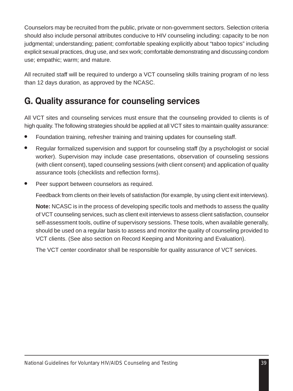Counselors may be recruited from the public, private or non-government sectors. Selection criteria should also include personal attributes conducive to HIV counseling including: capacity to be non judgmental; understanding; patient; comfortable speaking explicitly about "taboo topics" including explicit sexual practices, drug use, and sex work; comfortable demonstrating and discussing condom use; empathic; warm; and mature.

All recruited staff will be required to undergo a VCT counseling skills training program of no less than 12 days duration, as approved by the NCASC.

## **G. Quality assurance for counseling services**

All VCT sites and counseling services must ensure that the counseling provided to clients is of high quality. The following strategies should be applied at all VCT sites to maintain quality assurance:

- Foundation training, refresher training and training updates for counseling staff.
- Regular formalized supervision and support for counseling staff (by a psychologist or social worker). Supervision may include case presentations, observation of counseling sessions (with client consent), taped counseling sessions (with client consent) and application of quality assurance tools (checklists and reflection forms).
- Peer support between counselors as required.

Feedback from clients on their levels of satisfaction (for example, by using client exit interviews).

**Note:** NCASC is in the process of developing specific tools and methods to assess the quality of VCT counseling services, such as client exit interviews to assess client satisfaction, counselor self-assessment tools, outline of supervisory sessions. These tools, when available generally, should be used on a regular basis to assess and monitor the quality of counseling provided to VCT clients. (See also section on Record Keeping and Monitoring and Evaluation).

The VCT center coordinator shall be responsible for quality assurance of VCT services.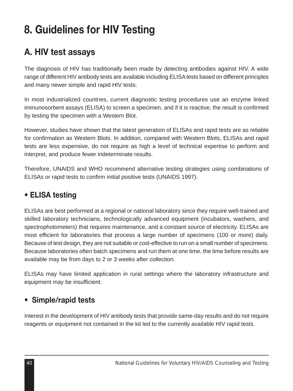# **8. Guidelines for HIV Testing**

## **A. HIV test assays**

The diagnosis of HIV has traditionally been made by detecting antibodies against HIV. A wide range of different HIV antibody tests are available including ELISA tests based on different principles and many newer simple and rapid HIV tests.

In most industrialized countries, current diagnostic testing procedures use an enzyme linked immunosorbent assays (ELISA) to screen a specimen, and if it is reactive, the result is confirmed by testing the specimen with a Western Blot.

However, studies have shown that the latest generation of ELISAs and rapid tests are as reliable for confirmation as Western Blots. In addition, compared with Western Blots, ELISAs and rapid tests are less expensive, do not require as high a level of technical expertise to perform and interpret, and produce fewer indeterminate results.

Therefore, UNAIDS and WHO recommend alternative testing strategies using combinations of ELISAs or rapid tests to confirm initial positive tests (UNAIDS 1997).

## **• ELISA testing**

ELISAs are best performed at a regional or national laboratory since they require well-trained and skilled laboratory technicians, technologically advanced equipment (incubators, washers, and spectrophotometers) that requires maintenance, and a constant source of electricity. ELISAs are most efficient for laboratories that process a large number of specimens (100 or more) daily. Because of test design, they are not suitable or cost-effective to run on a small number of specimens. Because laboratories often batch specimens and run them at one time, the time before results are available may be from days to 2 or 3 weeks after collection.

ELISAs may have limited application in rural settings where the laboratory infrastructure and equipment may be insufficient.

## **• Simple/rapid tests**

Interest in the development of HIV antibody tests that provide same-day results and do not require reagents or equipment not contained in the kit led to the currently available HIV rapid tests.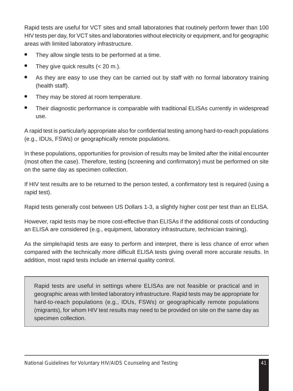Rapid tests are useful for VCT sites and small laboratories that routinely perform fewer than 100 HIV tests per day, for VCT sites and laboratories without electricity or equipment, and for geographic areas with limited laboratory infrastructure.

- They allow single tests to be performed at a time.
- $\bullet$  They give quick results  $( $20 \text{ m.}$ ).$
- As they are easy to use they can be carried out by staff with no formal laboratory training (health staff).
- They may be stored at room temperature.
- Their diagnostic performance is comparable with traditional ELISAs currently in widespread use.

A rapid test is particularly appropriate also for confidential testing among hard-to-reach populations (e.g., IDUs, FSWs) or geographically remote populations.

In these populations, opportunities for provision of results may be limited after the initial encounter (most often the case). Therefore, testing (screening and confirmatory) must be performed on site on the same day as specimen collection.

If HIV test results are to be returned to the person tested, a confirmatory test is required (using a rapid test).

Rapid tests generally cost between US Dollars 1-3, a slightly higher cost per test than an ELISA.

However, rapid tests may be more cost-effective than ELISAs if the additional costs of conducting an ELISA are considered (e.g., equipment, laboratory infrastructure, technician training).

As the simple/rapid tests are easy to perform and interpret, there is less chance of error when compared with the technically more difficult ELISA tests giving overall more accurate results. In addition, most rapid tests include an internal quality control.

Rapid tests are useful in settings where ELISAs are not feasible or practical and in geographic areas with limited laboratory infrastructure. Rapid tests may be appropriate for hard-to-reach populations (e.g., IDUs, FSWs) or geographically remote populations (migrants), for whom HIV test results may need to be provided on site on the same day as specimen collection.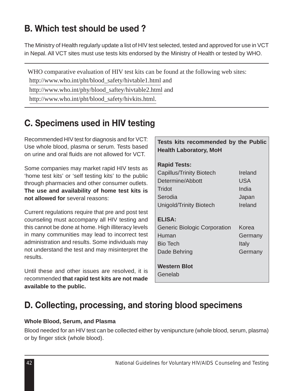## **B. Which test should be used ?**

The Ministry of Health regularly update a list of HIV test selected, tested and approved for use in VCT in Nepal. All VCT sites must use tests kits endorsed by the Ministry of Health or tested by WHO.

WHO comparative evaluation of HIV test kits can be found at the following web sites: http://www.who.int/pht/blood\_safety/hivtable1.html and http://www.who.int/phy/blood\_saftey/hivtable2.html and

http://www.who.int/pht/blood\_safety/hivkits.html.

## **C. Specimens used in HIV testing**

Recommended HIV test for diagnosis and for VCT: Use whole blood, plasma or serum. Tests based on urine and oral fluids are not allowed for VCT.

Some companies may market rapid HIV tests as 'home test kits' or 'self testing kits' to the public through pharmacies and other consumer outlets. **The use and availability of home test kits is not allowed for** several reasons:

Current regulations require that pre and post test counseling must accompany all HIV testing and this cannot be done at home. High illiteracy levels in many communities may lead to incorrect test administration and results. Some individuals may not understand the test and may misinterpret the results.

Until these and other issues are resolved, it is recommended **that rapid test kits are not made available to the public.**

|  | Tests kits recommended by the Public |  |  |
|--|--------------------------------------|--|--|
|  | <b>Health Laboratory, MoH</b>        |  |  |

| <b>Rapid Tests:</b>             |         |
|---------------------------------|---------|
| <b>Capillus/Trinity Biotech</b> | Ireland |
| Determine/Abbott                | USA     |
| Tridot                          | India   |
| Serodia                         | Japan   |
| Unigold/Trinity Biotech         | Ireland |
|                                 |         |
| <b>ELISA:</b>                   |         |
| Generic Biologic Corporation    | Korea   |
| Human                           | Germany |
| Bio Tech                        | Italy   |
| Dade Behring                    | Germany |
|                                 |         |
| <b>Western Blot</b>             |         |

Genelab

## **D. Collecting, processing, and storing blood specimens**

#### **Whole Blood, Serum, and Plasma**

Blood needed for an HIV test can be collected either by venipuncture (whole blood, serum, plasma) or by finger stick (whole blood).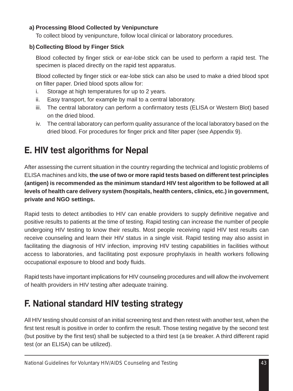#### **a) Processing Blood Collected by Venipuncture**

To collect blood by venipuncture, follow local clinical or laboratory procedures.

#### **b) Collecting Blood by Finger Stick**

Blood collected by finger stick or ear-lobe stick can be used to perform a rapid test. The specimen is placed directly on the rapid test apparatus.

Blood collected by finger stick or ear-lobe stick can also be used to make a dried blood spot on filter paper. Dried blood spots allow for:

- i. Storage at high temperatures for up to 2 years.
- ii. Easy transport, for example by mail to a central laboratory.
- iii. The central laboratory can perform a confirmatory tests (ELISA or Western Blot) based on the dried blood.
- iv. The central laboratory can perform quality assurance of the local laboratory based on the dried blood. For procedures for finger prick and filter paper (see Appendix 9).

## **E. HIV test algorithms for Nepal**

After assessing the current situation in the country regarding the technical and logistic problems of ELISA machines and kits, **the use of two or more rapid tests based on different test principles (antigen) is recommended as the minimum standard HIV test algorithm to be followed at all levels of health care delivery system (hospitals, health centers, clinics, etc.) in government, private and NGO settings.**

Rapid tests to detect antibodies to HIV can enable providers to supply definitive negative and positive results to patients at the time of testing. Rapid testing can increase the number of people undergoing HIV testing to know their results. Most people receiving rapid HIV test results can receive counseling and learn their HIV status in a single visit. Rapid testing may also assist in facilitating the diagnosis of HIV infection, improving HIV testing capabilities in facilities without access to laboratories, and facilitating post exposure prophylaxis in health workers following occupational exposure to blood and body fluids.

Rapid tests have important implications for HIV counseling procedures and will allow the involvement of health providers in HIV testing after adequate training.

## **F. National standard HIV testing strategy**

All HIV testing should consist of an initial screening test and then retest with another test, when the first test result is positive in order to confirm the result. Those testing negative by the second test (but positive by the first test) shall be subjected to a third test (a tie breaker. A third different rapid test (or an ELISA) can be utilized).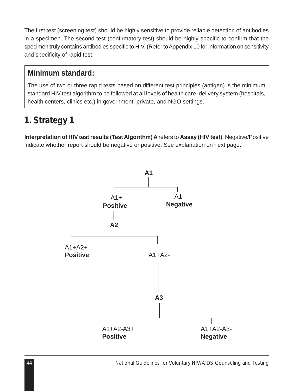The first test (screening test) should be highly sensitive to provide reliable detection of antibodies in a specimen. The second test (confirmatory test) should be highly specific to confirm that the specimen truly contains antibodies specific to HIV. (Refer to Appendix 10 for information on sensitivity and specificity of rapid test.

### **Minimum standard:**

The use of two or three rapid tests based on different test principles (antigen) is the minimum standard HIV test algorithm to be followed at all levels of health care, delivery system (hospitals, health centers, clinics etc.) in government, private, and NGO settings.

## *1. Strategy 1*

**Interpretation of HIV test results (Test Algorithm) A** refers to **Assay (HIV test)**. Negative/Positive indicate whether report should be negative or positive. See explanation on next page.

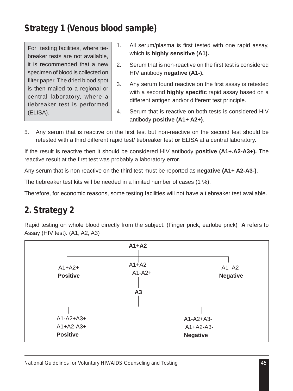## *Strategy 1 (Venous blood sample)*

For testing facilities, where tiebreaker tests are not available, it is recommended that a new specimen of blood is collected on filter paper. The dried blood spot is then mailed to a regional or central laboratory, where a tiebreaker test is performed (ELISA).

- 1. All serum/plasma is first tested with one rapid assay, which is **highly sensitive (A1).**
- 2. Serum that is non-reactive on the first test is considered HIV antibody **negative (A1-).**
- 3. Any serum found reactive on the first assay is retested with a second **highly specific** rapid assay based on a different antigen and/or different test principle.
- 4. Serum that is reactive on both tests is considered HIV antibody **positive (A1+ A2+)**.
- 5. Any serum that is reactive on the first test but non-reactive on the second test should be retested with a third different rapid test/ tiebreaker test **or** ELISA at a central laboratory.

If the result is reactive then it should be considered HIV antibody **positive (A1+.A2-A3+).** The reactive result at the first test was probably a laboratory error.

Any serum that is non reactive on the third test must be reported as **negative (A1+ A2-A3-)**.

The tiebreaker test kits will be needed in a limited number of cases (1 %).

Therefore, for economic reasons, some testing facilities will not have a tiebreaker test available.

## *2. Strategy 2*

Rapid testing on whole blood directly from the subject. (Finger prick, earlobe prick) **A** refers to Assay (HIV test). (A1, A2, A3)

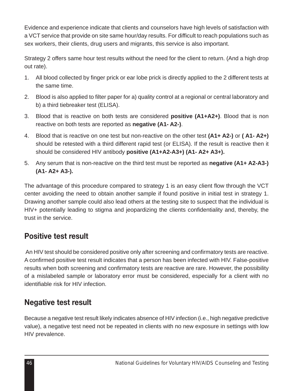Evidence and experience indicate that clients and counselors have high levels of satisfaction with a VCT service that provide on site same hour/day results. For difficult to reach populations such as sex workers, their clients, drug users and migrants, this service is also important.

Strategy 2 offers same hour test results without the need for the client to return. (And a high drop out rate).

- 1. All blood collected by finger prick or ear lobe prick is directly applied to the 2 different tests at the same time.
- 2. Blood is also applied to filter paper for a) quality control at a regional or central laboratory and b) a third tiebreaker test (ELISA).
- 3. Blood that is reactive on both tests are considered **positive (A1+A2+)**. Blood that is non reactive on both tests are reported as **negative (A1- A2-)**.
- 4. Blood that is reactive on one test but non-reactive on the other test **(A1+ A2-)** or **( A1- A2+)** should be retested with a third different rapid test (or ELISA). If the result is reactive then it should be considered HIV antibody **positive (A1+A2-A3+) (A1- A2+ A3+).**
- 5. Any serum that is non-reactive on the third test must be reported as **negative (A1+ A2-A3-) (A1- A2+ A3-).**

The advantage of this procedure compared to strategy 1 is an easy client flow through the VCT center avoiding the need to obtain another sample if found positive in initial test in strategy 1. Drawing another sample could also lead others at the testing site to suspect that the individual is HIV+ potentially leading to stigma and jeopardizing the clients confidentiality and, thereby, the trust in the service.

### **Positive test result**

An HIV test should be considered positive only after screening and confirmatory tests are reactive. A confirmed positive test result indicates that a person has been infected with HIV. False-positive results when both screening and confirmatory tests are reactive are rare. However, the possibility of a mislabeled sample or laboratory error must be considered, especially for a client with no identifiable risk for HIV infection.

### **Negative test result**

Because a negative test result likely indicates absence of HIV infection (i.e., high negative predictive value), a negative test need not be repeated in clients with no new exposure in settings with low HIV prevalence.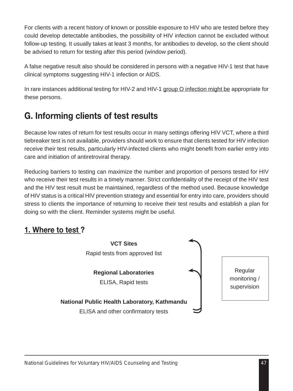For clients with a recent history of known or possible exposure to HIV who are tested before they could develop detectable antibodies, the possibility of HIV infection cannot be excluded without follow-up testing. It usually takes at least 3 months, for antibodies to develop, so the client should be advised to return for testing after this period (window period).

A false negative result also should be considered in persons with a negative HIV-1 test that have clinical symptoms suggesting HIV-1 infection or AIDS.

In rare instances additional testing for HIV-2 and HIV-1 group O infection might be appropriate for these persons.

## **G. Informing clients of test results**

Because low rates of return for test results occur in many settings offering HIV VCT, where a third tiebreaker test is not available, providers should work to ensure that clients tested for HIV infection receive their test results, particularly HIV-infected clients who might benefit from earlier entry into care and initiation of antiretroviral therapy.

Reducing barriers to testing can maximize the number and proportion of persons tested for HIV who receive their test results in a timely manner. Strict confidentiality of the receipt of the HIV test and the HIV test result must be maintained, regardless of the method used. Because knowledge of HIV status is a critical HIV prevention strategy and essential for entry into care, providers should stress to clients the importance of returning to receive their test results and establish a plan for doing so with the client. Reminder systems might be useful.

## **1. Where to test ?**

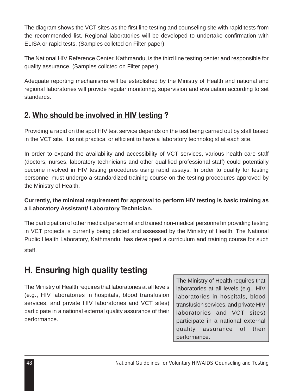The diagram shows the VCT sites as the first line testing and counseling site with rapid tests from the recommended list. Regional laboratories will be developed to undertake confirmation with ELISA or rapid tests. (Samples collcted on Filter paper)

The National HIV Reference Center, Kathmandu, is the third line testing center and responsible for quality assurance. (Samples collcted on Filter paper)

Adequate reporting mechanisms will be established by the Ministry of Health and national and regional laboratories will provide regular monitoring, supervision and evaluation according to set standards.

## **2. Who should be involved in HIV testing ?**

Providing a rapid on the spot HIV test service depends on the test being carried out by staff based in the VCT site. It is not practical or efficient to have a laboratory technologist at each site.

In order to expand the availability and accessibility of VCT services, various health care staff (doctors, nurses, laboratory technicians and other qualified professional staff) could potentially become involved in HIV testing procedures using rapid assays. In order to qualify for testing personnel must undergo a standardized training course on the testing procedures approved by the Ministry of Health.

#### **Currently, the minimal requirement for approval to perform HIV testing is basic training as a Laboratory Assistant/ Laboratory Technician.**

The participation of other medical personnel and trained non-medical personnel in providing testing in VCT projects is currently being piloted and assessed by the Ministry of Health, The National Public Health Laboratory, Kathmandu, has developed a curriculum and training course for such staff.

## **H. Ensuring high quality testing**

The Ministry of Health requires that laboratories at all levels (e.g., HIV laboratories in hospitals, blood transfusion services, and private HIV laboratories and VCT sites) participate in a national external quality assurance of their performance.

The Ministry of Health requires that laboratories at all levels (e.g., HIV laboratories in hospitals, blood transfusion services, and private HIV laboratories and VCT sites) participate in a national external quality assurance of their performance.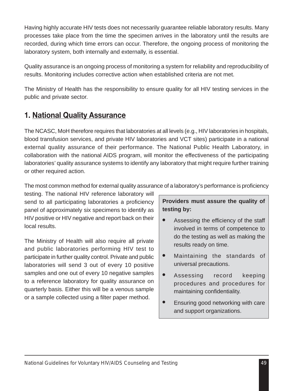Having highly accurate HIV tests does not necessarily guarantee reliable laboratory results. Many processes take place from the time the specimen arrives in the laboratory until the results are recorded, during which time errors can occur. Therefore, the ongoing process of monitoring the laboratory system, both internally and externally, is essential.

Quality assurance is an ongoing process of monitoring a system for reliability and reproducibility of results. Monitoring includes corrective action when established criteria are not met.

The Ministry of Health has the responsibility to ensure quality for all HIV testing services in the public and private sector.

### **1. National Quality Assurance**

The NCASC, MoH therefore requires that laboratories at all levels (e.g., HIV laboratories in hospitals, blood transfusion services, and private HIV laboratories and VCT sites) participate in a national external quality assurance of their performance. The National Public Health Laboratory, in collaboration with the national AIDS program, will monitor the effectiveness of the participating laboratories' quality assurance systems to identify any laboratory that might require further training or other required action.

The most common method for external quality assurance of a laboratory's performance is proficiency

testing. The national HIV reference laboratory will send to all participating laboratories a proficiency panel of approximately six specimens to identify as HIV positive or HIV negative and report back on their local results.

The Ministry of Health will also require all private and public laboratories performing HIV test to participate in further quality control. Private and public laboratories will send 3 out of every 10 positive samples and one out of every 10 negative samples to a reference laboratory for quality assurance on quarterly basis. Either this will be a venous sample or a sample collected using a filter paper method.

#### **Providers must assure the quality of testing by:**

- Assessing the efficiency of the staff involved in terms of competence to do the testing as well as making the results ready on time.
- Maintaining the standards of universal precautions.
- Assessing record keeping procedures and procedures for maintaining confidentiality.
- Ensuring good networking with care and support organizations.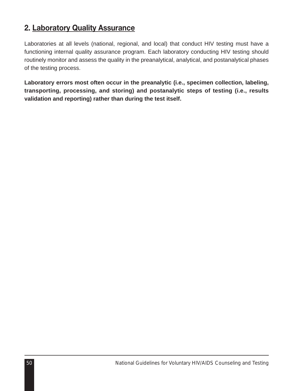### **2. Laboratory Quality Assurance**

Laboratories at all levels (national, regional, and local) that conduct HIV testing must have a functioning internal quality assurance program. Each laboratory conducting HIV testing should routinely monitor and assess the quality in the preanalytical, analytical, and postanalytical phases of the testing process.

**Laboratory errors most often occur in the preanalytic (i.e., specimen collection, labeling, transporting, processing, and storing) and postanalytic steps of testing (i.e., results validation and reporting) rather than during the test itself.**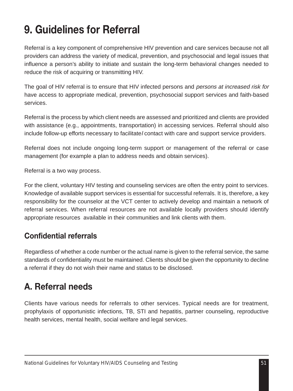# **9. Guidelines for Referral**

Referral is a key component of comprehensive HIV prevention and care services because not all providers can address the variety of medical, prevention, and psychosocial and legal issues that influence a person's ability to initiate and sustain the long-term behavioral changes needed to reduce the risk of acquiring or transmitting HIV.

The goal of HIV referral is to ensure that HIV infected persons and *persons at increased risk for* have access to appropriate medical, prevention, psychosocial support services and faith-based services.

Referral is the process by which client needs are assessed and prioritized and clients are provided with assistance (e.g., appointments, transportation) in accessing services. Referral should also include follow-up efforts necessary to facilitatel contact with care and support service providers.

Referral does not include ongoing long-term support or management of the referral or case management (for example a plan to address needs and obtain services).

Referral is a two way process.

For the client, voluntary HIV testing and counseling services are often the entry point to services. Knowledge of available support services is essential for successful referrals. It is, therefore, a key responsibility for the counselor at the VCT center to actively develop and maintain a network of referral services. When referral resources are not available locally providers should identify appropriate resources available in their communities and link clients with them.

### **Confidential referrals**

Regardless of whether a code number or the actual name is given to the referral service, the same standards of confidentiality must be maintained. Clients should be given the opportunity to decline a referral if they do not wish their name and status to be disclosed.

## **A. Referral needs**

Clients have various needs for referrals to other services. Typical needs are for treatment, prophylaxis of opportunistic infections, TB, STI and hepatitis, partner counseling, reproductive health services, mental health, social welfare and legal services.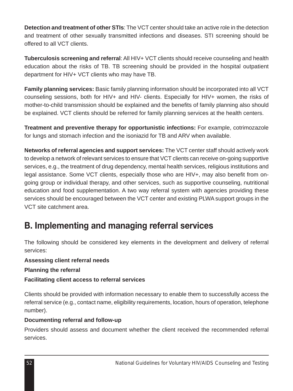**Detection and treatment of other STIs**: The VCT center should take an active role in the detection and treatment of other sexually transmitted infections and diseases. STI screening should be offered to all VCT clients.

**Tuberculosis screening and referral:** All HIV+ VCT clients should receive counseling and health education about the risks of TB. TB screening should be provided in the hospital outpatient department for HIV+ VCT clients who may have TB.

**Family planning services:** Basic family planning information should be incorporated into all VCT counseling sessions, both for HIV+ and HIV- clients. Especially for HIV+ women, the risks of mother-to-child transmission should be explained and the benefits of family planning also should be explained. VCT clients should be referred for family planning services at the health centers.

**Treatment and preventive therapy for opportunistic infections:** For example, cotrimozazole for lungs and stomach infection and the isoniazid for TB and ARV when available.

**Networks of referral agencies and support services:** The VCT center staff should actively work to develop a network of relevant services to ensure that VCT clients can receive on-going supportive services, e.g., the treatment of drug dependency, mental health services, religious institutions and legal assistance. Some VCT clients, especially those who are HIV+, may also benefit from ongoing group or individual therapy, and other services, such as supportive counseling, nutritional education and food supplementation. A two way referral system with agencies providing these services should be encouraged between the VCT center and existing PLWA support groups in the VCT site catchment area.

## **B. Implementing and managing referral services**

The following should be considered key elements in the development and delivery of referral services:

**Assessing client referral needs**

**Planning the referral**

#### **Facilitating client access to referral services**

Clients should be provided with information necessary to enable them to successfully access the referral service (e.g., contact name, eligibility requirements, location, hours of operation, telephone number).

#### **Documenting referral and follow-up**

Providers should assess and document whether the client received the recommended referral services.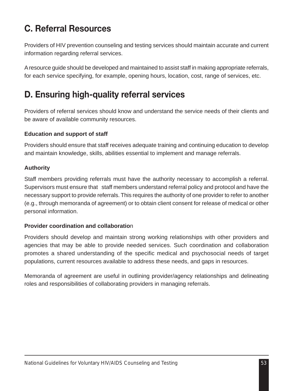## **C. Referral Resources**

Providers of HIV prevention counseling and testing services should maintain accurate and current information regarding referral services.

A resource guide should be developed and maintained to assist staff in making appropriate referrals, for each service specifying, for example, opening hours, location, cost, range of services, etc.

## **D. Ensuring high-quality referral services**

Providers of referral services should know and understand the service needs of their clients and be aware of available community resources.

#### **Education and support of staff**

Providers should ensure that staff receives adequate training and continuing education to develop and maintain knowledge, skills, abilities essential to implement and manage referrals.

#### **Authority**

Staff members providing referrals must have the authority necessary to accomplish a referral. Supervisors must ensure that staff members understand referral policy and protocol and have the necessary support to provide referrals. This requires the authority of one provider to refer to another (e.g., through memoranda of agreement) or to obtain client consent for release of medical or other personal information.

#### **Provider coordination and collaboratio**n

Providers should develop and maintain strong working relationships with other providers and agencies that may be able to provide needed services. Such coordination and collaboration promotes a shared understanding of the specific medical and psychosocial needs of target populations, current resources available to address these needs, and gaps in resources.

Memoranda of agreement are useful in outlining provider/agency relationships and delineating roles and responsibilities of collaborating providers in managing referrals.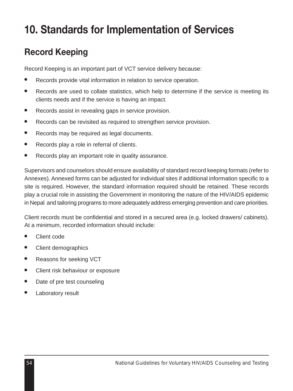# **10. Standards for Implementation of Services**

## **Record Keeping**

Record Keeping is an important part of VCT service delivery because:

- Records provide vital information in relation to service operation.
- Records are used to collate statistics, which help to determine if the service is meeting its clients needs and if the service is having an impact.
- Records assist in revealing gaps in service provision.
- Records can be revisited as required to strengthen service provision.
- Records may be required as legal documents.
- Records play a role in referral of clients.
- Records play an important role in quality assurance.

Supervisors and counselors should ensure availability of standard record keeping formats (refer to Annexes). Annexed forms can be adjusted for individual sites if additional information specific to a site is required. However, the standard information required should be retained. These records play a crucial role in assisting the Government in monitoring the nature of the HIV/AIDS epidemic in Nepal and tailoring programs to more adequately address emerging prevention and care priorities.

Client records must be confidential and stored in a secured area (e.g. locked drawers/ cabinets). At a minimum, recorded information should include:

- Client code
- **Client demographics**
- Reasons for seeking VCT
- Client risk behaviour or exposure
- Date of pre test counseling
- Laboratory result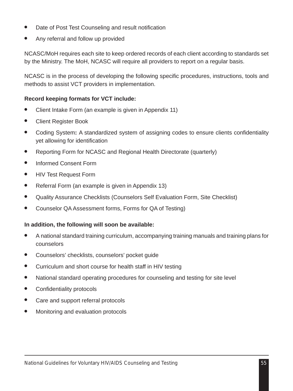- Date of Post Test Counseling and result notification
- Any referral and follow up provided

NCASC/MoH requires each site to keep ordered records of each client according to standards set by the Ministry. The MoH, NCASC will require all providers to report on a regular basis.

NCASC is in the process of developing the following specific procedures, instructions, tools and methods to assist VCT providers in implementation.

#### **Record keeping formats for VCT include:**

- Client Intake Form (an example is given in Appendix 11)
- Client Register Book
- Coding System**:** A standardized system of assigning codes to ensure clients confidentiality yet allowing for identification
- Reporting Form for NCASC and Regional Health Directorate (quarterly)
- Informed Consent Form
- **HIV Test Request Form**
- Referral Form (an example is given in Appendix 13)
- Quality Assurance Checklists (Counselors Self Evaluation Form, Site Checklist)
- Counselor QA Assessment forms, Forms for QA of Testing)

#### **In addition, the following will soon be available:**

- A national standard training curriculum, accompanying training manuals and training plans for counselors
- Counselors' checklists, counselors' pocket guide
- Curriculum and short course for health staff in HIV testing
- National standard operating procedures for counseling and testing for site level
- Confidentiality protocols
- Care and support referral protocols
- Monitoring and evaluation protocols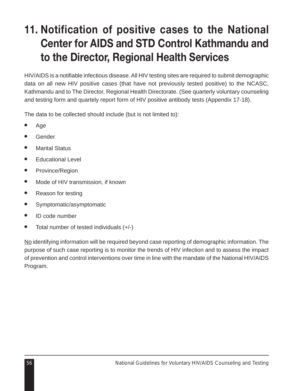# **11. Notification of positive cases to the National Center for AIDS and STD Control Kathmandu and to the Director, Regional Health Services**

HIV/AIDS is a notifiable infectious disease. All HIV testing sites are required to submit demographic data on all new HIV positive cases (that have not previously tested positive) to the NCASC, Kathmandu and to The Director, Regional Health Directorate. (See quarterly voluntary counseling and testing form and quartely report form of HIV positive antibody tests (Appendix 17-18).

The data to be collected should include (but is not limited to):

- Age
- **Gender**
- **Marital Status**
- Educational Level
- Province/Region
- Mode of HIV transmission, if known
- Reason for testing
- Symptomatic/asymptomatic
- ID code number
- Total number of tested individuals  $(+/-)$

No identifying information will be required beyond case reporting of demographic information. The purpose of such case reporting is to monitor the trends of HIV infection and to assess the impact of prevention and control interventions over time in line with the mandate of the National HIV/AIDS Program.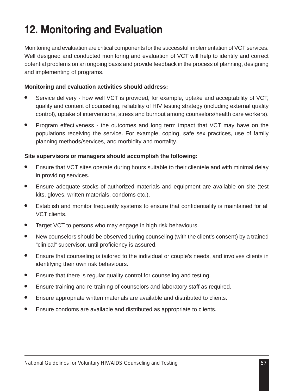# **12. Monitoring and Evaluation**

Monitoring and evaluation are critical components for the successful implementation of VCT services. Well designed and conducted monitoring and evaluation of VCT will help to identify and correct potential problems on an ongoing basis and provide feedback in the process of planning, designing and implementing of programs.

#### **Monitoring and evaluation activities should address:**

- Service delivery how well VCT is provided, for example, uptake and acceptability of VCT, quality and content of counseling, reliability of HIV testing strategy (including external quality control), uptake of interventions, stress and burnout among counselors/health care workers).
- Program effectiveness the outcomes and long term impact that VCT may have on the populations receiving the service. For example, coping, safe sex practices, use of family planning methods/services, and morbidity and mortality.

#### **Site supervisors or managers should accomplish the following:**

- Ensure that VCT sites operate during hours suitable to their clientele and with minimal delay in providing services.
- Ensure adequate stocks of authorized materials and equipment are available on site (test kits, gloves, written materials, condoms etc.).
- Establish and monitor frequently systems to ensure that confidentiality is maintained for all VCT clients.
- Target VCT to persons who may engage in high risk behaviours.
- New counselors should be observed during counseling (with the client's consent) by a trained "clinical" supervisor, until proficiency is assured.
- Ensure that counseling is tailored to the individual or couple's needs, and involves clients in identifying their own risk behaviours.
- Ensure that there is regular quality control for counseling and testing.
- Ensure training and re-training of counselors and laboratory staff as required.
- Ensure appropriate written materials are available and distributed to clients.
- Ensure condoms are available and distributed as appropriate to clients.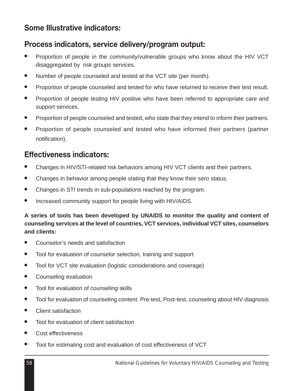### **Some Illustrative indicators:**

### **Process indicators, service delivery/program output:**

- Proportion of people in the community/vulnerable groups who know about the HIV VCT disaggregated by risk groups services.
- Number of people counseled and tested at the VCT site (per month).
- Proportion of people counseled and tested for who have returned to receive their test result.
- Proportion of people testing HIV positive who have been referred to appropriate care and support services.
- Proportion of people counseled and tested, who state that they intend to inform their partners.
- Proportion of people counseled and tested who have informed their partners (partner notification).

### **Effectiveness indicators:**

- Changes in HIV/STI-related risk behaviors among HIV VCT clients and their partners.
- Changes in behavior among people stating that they know their sero status.
- Changes in STI trends in sub-populations reached by the program.
- Increased community support for people living with HIV/AIDS.

#### **A series of tools has been developed by UNAIDS to monitor the quality and content of counseling services at the level of countries, VCT services, individual VCT sites, counselors and clients:**

- Counselor's needs and satisfaction
- Tool for evaluation of counselor selection, training and support
- Tool for VCT site evaluation (logistic considerations and coverage)
- Counseling evaluation
- Tool for evaluation of counseling skills
- Tool for evaluation of counseling content. Pre-test, Post-test, counseling about HIV diagnosis
- Client satisfaction
- Tool for evaluation of client satisfaction
- Cost effectiveness
- Tool for estimating cost and evaluation of cost effectiveness of VCT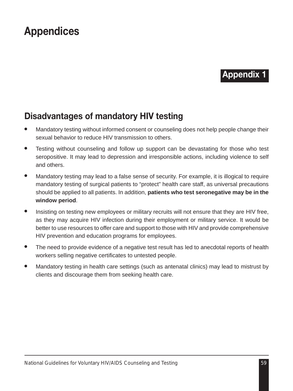# **Appendices**

### **Appendix 1**

## **Disadvantages of mandatory HIV testing**

- Mandatory testing without informed consent or counseling does not help people change their sexual behavior to reduce HIV transmission to others.
- Testing without counseling and follow up support can be devastating for those who test seropositive. It may lead to depression and irresponsible actions, including violence to self and others.
- Mandatory testing may lead to a false sense of security. For example, it is illogical to require mandatory testing of surgical patients to "protect" health care staff, as universal precautions should be applied to all patients. In addition, **patients who test seronegative may be in the window period**.
- Insisting on testing new employees or military recruits will not ensure that they are HIV free, as they may acquire HIV infection during their employment or military service. It would be better to use resources to offer care and support to those with HIV and provide comprehensive HIV prevention and education programs for employees.
- The need to provide evidence of a negative test result has led to anecdotal reports of health workers selling negative certificates to untested people.
- Mandatory testing in health care settings (such as antenatal clinics) may lead to mistrust by clients and discourage them from seeking health care.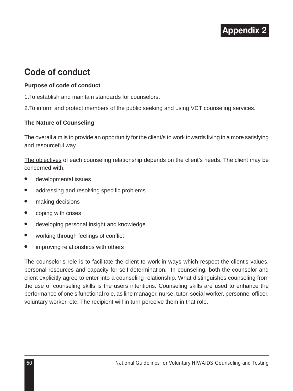## **Code of conduct**

#### **Purpose of code of conduct**

1.To establish and maintain standards for counselors.

2.To inform and protect members of the public seeking and using VCT counseling services.

#### **The Nature of Counseling**

The overall aim is to provide an opportunity for the client/s to work towards living in a more satisfying and resourceful way.

The objectives of each counseling relationship depends on the client's needs. The client may be concerned with:

- developmental issues
- addressing and resolving specific problems
- making decisions
- coping with crises
- developing personal insight and knowledge
- working through feelings of conflict
- improving relationships with others

The counselor's role is to facilitate the client to work in ways which respect the client's values, personal resources and capacity for self-determination. In counseling, both the counselor and client explicitly agree to enter into a counseling relationship. What distinguishes counseling from the use of counseling skills is the users intentions. Counseling skills are used to enhance the performance of one's functional role, as line manager, nurse, tutor, social worker, personnel officer, voluntary worker, etc. The recipient will in turn perceive them in that role.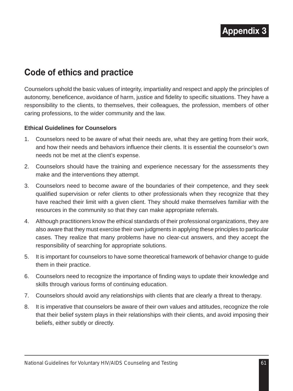## **Code of ethics and practice**

Counselors uphold the basic values of integrity, impartiality and respect and apply the principles of autonomy, beneficence, avoidance of harm, justice and fidelity to specific situations. They have a responsibility to the clients, to themselves, their colleagues, the profession, members of other caring professions, to the wider community and the law.

#### **Ethical Guidelines for Counselors**

- 1. Counselors need to be aware of what their needs are, what they are getting from their work, and how their needs and behaviors influence their clients. It is essential the counselor's own needs not be met at the client's expense.
- 2. Counselors should have the training and experience necessary for the assessments they make and the interventions they attempt.
- 3. Counselors need to become aware of the boundaries of their competence, and they seek qualified supervision or refer clients to other professionals when they recognize that they have reached their limit with a given client. They should make themselves familiar with the resources in the community so that they can make appropriate referrals.
- 4. Although practitioners know the ethical standards of their professional organizations, they are also aware that they must exercise their own judgments in applying these principles to particular cases. They realize that many problems have no clear-cut answers, and they accept the responsibility of searching for appropriate solutions.
- 5. It is important for counselors to have some theoretical framework of behavior change to guide them in their practice.
- 6. Counselors need to recognize the importance of finding ways to update their knowledge and skills through various forms of continuing education.
- 7. Counselors should avoid any relationships with clients that are clearly a threat to therapy.
- 8. It is imperative that counselors be aware of their own values and attitudes, recognize the role that their belief system plays in their relationships with their clients, and avoid imposing their beliefs, either subtly or directly.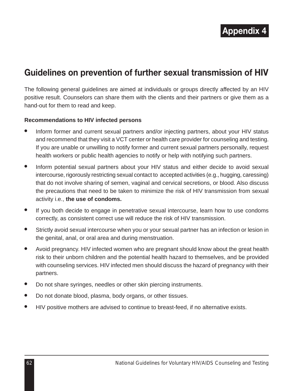## **Guidelines on prevention of further sexual transmission of HIV**

The following general guidelines are aimed at individuals or groups directly affected by an HIV positive result. Counselors can share them with the clients and their partners or give them as a hand-out for them to read and keep.

### **Recommendations to HIV infected persons**

- Inform former and current sexual partners and/or injecting partners, about your HIV status and recommend that they visit a VCT center or health care provider for counseling and testing. If you are unable or unwilling to notify former and current sexual partners personally, request health workers or public health agencies to notify or help with notifying such partners.
- Inform potential sexual partners about your HIV status and either decide to avoid sexual intercourse, rigorously restricting sexual contact to accepted activities (e.g., hugging, caressing) that do not involve sharing of semen, vaginal and cervical secretions, or blood. Also discuss the precautions that need to be taken to minimize the risk of HIV transmission from sexual activity i.e., **the use of condoms.**
- If you both decide to engage in penetrative sexual intercourse, learn how to use condoms correctly, as consistent correct use will reduce the risk of HIV transmission.
- Strictly avoid sexual intercourse when you or your sexual partner has an infection or lesion in the genital, anal, or oral area and during menstruation.
- Avoid pregnancy. HIV infected women who are pregnant should know about the great health risk to their unborn children and the potential health hazard to themselves, and be provided with counseling services. HIV infected men should discuss the hazard of pregnancy with their partners.
- Do not share syringes, needles or other skin piercing instruments.
- Do not donate blood, plasma, body organs, or other tissues.
- HIV positive mothers are advised to continue to breast-feed, if no alternative exists.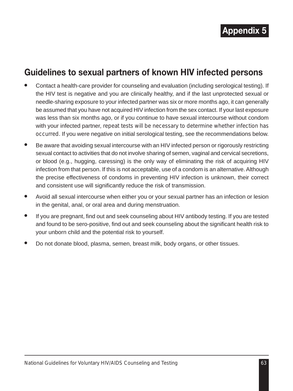## **Guidelines to sexual partners of known HIV infected persons**

- Contact a health-care provider for counseling and evaluation (including serological testing). If the HIV test is negative and you are clinically healthy, and if the last unprotected sexual or needle-sharing exposure to your infected partner was six or more months ago, it can generally be assumed that you have not acquired HIV infection from the sex contact. If your last exposure was less than six months ago, or if you continue to have sexual intercourse without condom with your infected partner, *repeat tests will be necessary to determine whether infection has occurred.* If you were negative on initial serological testing, see the recommendations below.
- Be aware that avoiding sexual intercourse with an HIV infected person or rigorously restricting sexual contact to activities that do not involve sharing of semen, vaginal and cervical secretions, or blood (e.g., hugging, caressing) is the only way of eliminating the risk of acquiring HIV infection from that person. If this is not acceptable, use of a condom is an alternative. Although the precise effectiveness of condoms in preventing HIV infection is unknown, their correct and consistent use will significantly reduce the risk of transmission.
- Avoid all sexual intercourse when either you or your sexual partner has an infection or lesion in the genital, anal, or oral area and during menstruation.
- If you are pregnant, find out and seek counseling about HIV antibody testing. If you are tested and found to be sero-positive, find out and seek counseling about the significant health risk to your unborn child and the potential risk to yourself.
- Do not donate blood, plasma, semen, breast milk, body organs, or other tissues.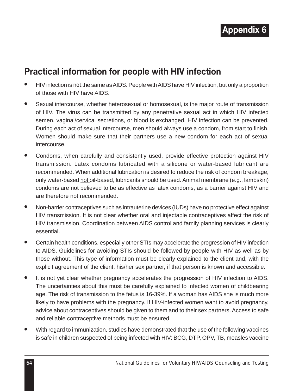

## **Practical information for people with HIV infection**

- HIV infection is *not* the same as AIDS. People with AIDS have HIV infection, but only a proportion of those with HIV have AIDS.
- Sexual intercourse, whether heterosexual or homosexual, is the major route of transmission of HIV. The virus can be transmitted by any penetrative sexual act in which HIV infected semen, vaginal/cervical secretions, or blood is exchanged. HIV infection can be prevented. During each act of sexual intercourse, men should always use a condom, from start to finish. Women should make sure that their partners use a new condom for each act of sexual intercourse.
- Condoms, when carefully and consistently used, provide effective protection against HIV transmission. Latex condoms lubricated with a silicone or water-based lubricant are recommended. When additional lubrication is desired to reduce the risk of condom breakage, only water-based not oil-based, lubricants should be used. Animal membrane (e.g., lambskin) condoms are not believed to be as effective as latex condoms, as a barrier against HIV and are therefore not recommended.
- Non-barrier contraceptives such as intrauterine devices (IUDs) have no protective effect against HIV transmission. It is not clear whether oral and injectable contraceptives affect the risk of HIV transmission. Coordination between AIDS control and family planning services is clearly essential.
- Certain health conditions, especially other STIs may accelerate the progression of HIV infection to AIDS. Guidelines for avoiding STIs should be followed by people with HIV as well as by those without. This type of information must be clearly explained to the client and, with the explicit agreement of the client, his/her sex partner, if that person is known and accessible.
- It is not yet clear whether pregnancy accelerates the progression of HIV infection to AIDS. The uncertainties about this must be carefully explained to infected women of childbearing age. The risk of transmission to the fetus is 16-39%. If a woman has AIDS she is much more likely to have problems with the pregnancy. If HIV-infected women want to avoid pregnancy, advice about contraceptives should be given to them and to their sex partners. Access to safe and reliable contraceptive methods must be ensured.
- With regard to immunization, studies have demonstrated that the use of the following vaccines is safe in children suspected of being infected with HIV: BCG, DTP, OPV, TB, measles vaccine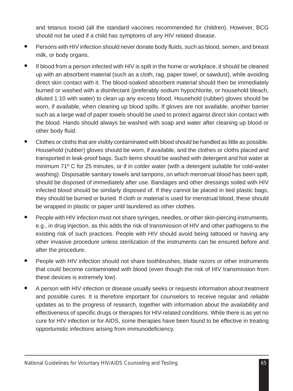and tetanus toxoid (all the standard vaccines recommended for children). However, BCG should not be used if a child has symptoms of any HIV related disease.

- Persons with HIV infection should never donate body fluids, such as blood, semen, and breast milk, or body organs.
- If blood from a person infected with HIV is spilt in the home or workplace, it should be cleaned up with an absorbent material (such as a cloth, rag, paper towel, or sawdust), while avoiding direct skin contact with it. The blood-soaked absorbent material should then be immediately burned or washed with a disinfectant (preferably sodium hypochlorite, or household bleach, diluted 1:10 with water) to clean up any excess blood. Household (rubber) gloves should be worn, if available, when cleaning up blood spills. If gloves are not available, another barrier such as a large wad of paper towels should be used to protect against direct skin contact with the blood. Hands should always be washed with soap and water after cleaning up blood or other body fluid.
- Clothes or cloths that are visibly contaminated with blood should be handled as little as possible. Household (rubber) gloves should be worn, if available, and the clothes or cloths placed and transported in leak-proof bags. Such items should be washed with detergent and hot water at minimum 71º C for 25 minutes, or if in colder water (with a detergent suitable for cold-water washing). Disposable sanitary towels and tampons, on which menstrual blood has been spilt, should be disposed of immediately after use. Bandages and other dressings soiled with HIV infected blood should be similarly disposed of. If they cannot be placed in tied plastic bags, they should be burned or buried. If cloth or material is used for menstrual blood, these should be wrapped in plastic or paper until laundered as other clothes.
- People with HIV infection must not share syringes, needles, or other skin-piercing instruments, e.g., in drug injection, as this adds the risk of transmission of HIV and other pathogens to the existing risk of such practices. People with HIV should avoid being tattooed or having any other invasive procedure unless sterilization of the instruments can be ensured before and after the procedure.
- People with HIV infection should not share toothbrushes, blade razors or other instruments that could become contaminated with blood (even though the risk of HIV transmission from these devices is extremely low).
- A person with HIV infection or disease usually seeks or requests information about treatment and possible cures. It is therefore important for counselors to receive regular and *reliable* updates as to the progress of research, together with information about the availability and effectiveness of specific drugs or therapies for HIV-related conditions. While there is as yet no cure for HIV infection or for AIDS, some therapies have been found to be effective in treating opportunistic infections arising from immunodeficiency.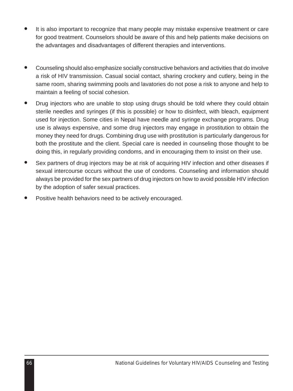- It is also important to recognize that many people may mistake expensive treatment or care for good treatment. Counselors should be aware of this and help patients make decisions on the advantages and disadvantages of different therapies and interventions.
- Counseling should also emphasize socially constructive behaviors and activities that do involve a risk of HIV transmission. Casual social contact, sharing crockery and cutlery, being in the same room, sharing swimming pools and lavatories do not pose a risk to anyone and help to maintain a feeling of social cohesion.
- Drug injectors who are unable to stop using drugs should be told where they could obtain sterile needles and syringes (if this is possible) or how to disinfect, with bleach, equipment used for injection. Some cities in Nepal have needle and syringe exchange programs. Drug use is always expensive, and some drug injectors may engage in prostitution to obtain the money they need for drugs. Combining drug use with prostitution is particularly dangerous for both the prostitute and the client. Special care is needed in counseling those thought to be doing this, in regularly providing condoms, and in encouraging them to insist on their use.
- Sex partners of drug injectors may be at risk of acquiring HIV infection and other diseases if sexual intercourse occurs without the use of condoms. Counseling and information should always be provided for the sex partners of drug injectors on how to avoid possible HIV infection by the adoption of safer sexual practices.
- Positive health behaviors need to be actively encouraged.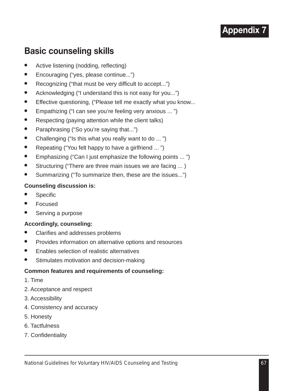## **Basic counseling skills**

- Active listening (nodding, reflecting)
- Encouraging ("yes, please continue...")
- Recognizing ("that must be very difficult to accept...")
- Acknowledging ("I understand this is not easy for you...")
- Effective questioning, ("Please tell me exactly what you know...
- Empathizing ("I can see you're feeling very anxious ... ")
- Respecting (paying attention while the client talks)
- Paraphrasing ("So you're saying that...")
- Challenging ("Is this what you really want to do ... ")
- Repeating ("You felt happy to have a girlfriend ... ")
- Emphasizing ("Can I just emphasize the following points ... ")
- Structuring ("There are three main issues we are facing ... )
- Summarizing ("To summarize then, these are the issues...")

## **Counseling discussion is:**

- **Specific**
- **Focused**
- Serving a purpose

## **Accordingly, counseling:**

- Clarifies and addresses problems
- Provides information on alternative options and resources
- **Enables selection of realistic alternatives**
- Stimulates motivation and decision-making

### **Common features and requirements of counseling:**

- 1. Time
- 2. Acceptance and respect
- 3. Accessibility
- 4. Consistency and accuracy
- 5. Honesty
- 6. Tactfulness
- 7. Confidentiality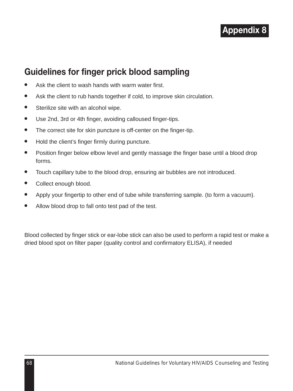

## **Guidelines for finger prick blood sampling**

- Ask the client to wash hands with warm water first.
- Ask the client to rub hands together if cold, to improve skin circulation.
- Sterilize site with an alcohol wipe.
- Use 2nd, 3rd or 4th finger, avoiding calloused finger-tips.
- The correct site for skin puncture is off-center on the finger-tip.
- Hold the client's finger firmly during puncture.
- Position finger below elbow level and gently massage the finger base until a blood drop forms.
- Touch capillary tube to the blood drop, ensuring air bubbles are not introduced.
- Collect enough blood.
- Apply your fingertip to other end of tube while transferring sample. (to form a vacuum).
- Allow blood drop to fall onto test pad of the test.

Blood collected by finger stick or ear-lobe stick can also be used to perform a rapid test or make a dried blood spot on filter paper (quality control and confirmatory ELISA), if needed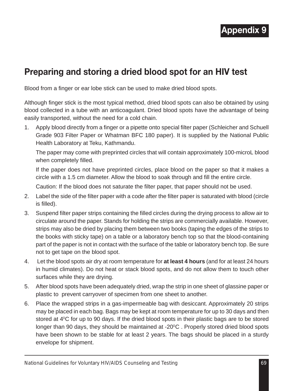## **Preparing and storing a dried blood spot for an HIV test**

Blood from a finger or ear lobe stick can be used to make dried blood spots.

Although finger stick is the most typical method, dried blood spots can also be obtained by using blood collected in a tube with an anticoagulant. Dried blood spots have the advantage of being easily transported, without the need for a cold chain.

1. Apply blood directly from a finger or a pipette onto special filter paper (Schleicher and Schuell Grade 903 Filter Paper or Whatman BFC 180 paper). It is supplied by the National Public Health Laboratory at Teku, Kathmandu.

The paper may come with preprinted circles that will contain approximately 100-microL blood when completely filled.

If the paper does not have preprinted circles, place blood on the paper so that it makes a circle with a 1.5 cm diameter. Allow the blood to soak through and fill the entire circle.

Caution: If the blood does not saturate the filter paper, that paper should not be used.

- 2. Label the side of the filter paper with a code after the filter paper is saturated with blood (circle is filled).
- 3. Suspend filter paper strips containing the filled circles during the drying process to allow air to circulate around the paper. Stands for holding the strips are commercially available. However, strips may also be dried by placing them between two books (taping the edges of the strips to the books with sticky tape) on a table or a laboratory bench top so that the blood-containing part of the paper is not in contact with the surface of the table or laboratory bench top. Be sure not to get tape on the blood spot.
- 4. Let the blood spots air dry at room temperature for **at least 4 hours** (and for at least 24 hours in humid climates). Do not heat or stack blood spots, and do not allow them to touch other surfaces while they are drying.
- 5. After blood spots have been adequately dried, wrap the strip in one sheet of glassine paper or plastic to prevent carryover of specimen from one sheet to another.
- 6. Place the wrapped strips in a gas-impermeable bag with desiccant. Approximately 20 strips may be placed in each bag. Bags may be kept at room temperature for up to 30 days and then stored at  $4^{\circ}$ C for up to 90 days. If the dried blood spots in their plastic bags are to be stored longer than 90 days, they should be maintained at -20°C. Properly stored dried blood spots have been shown to be stable for at least 2 years. The bags should be placed in a sturdy envelope for shipment.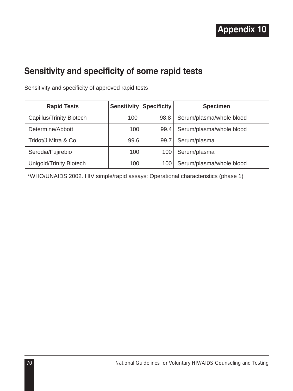## **Sensitivity and specificity of some rapid tests**

Sensitivity and specificity of approved rapid tests

| <b>Rapid Tests</b>       | Sensitivity | <b>Specificity</b> | <b>Specimen</b>          |
|--------------------------|-------------|--------------------|--------------------------|
| Capillus/Trinity Biotech | 100         | 98.8               | Serum/plasma/whole blood |
| Determine/Abbott         | 100         | 99.4               | Serum/plasma/whole blood |
| Tridot/J Mitra & Co      | 99.6        | 99.7               | Serum/plasma             |
| Serodia/Fujirebio        | 100         | 100                | Serum/plasma             |
| Unigold/Trinity Biotech  | 100         | 100                | Serum/plasma/whole blood |

\*WHO/UNAIDS 2002. HIV simple/rapid assays: Operational characteristics (phase 1)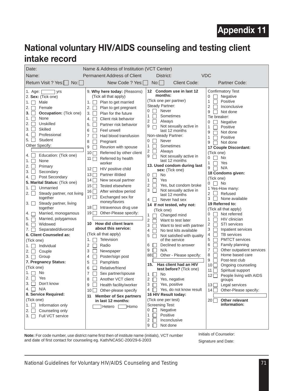## **National voluntary HIV/AIDS counseling and testing client intake record**

| Date:                                                                                                                                                                                                                                                                                                                                                                                                                                                                                                                                                                                                                                                                                                                                                                                                                                                                                                                                                                                                                                                                                                     | Name & Address of Institution (VCT Center)                                                                                                                                                                                                                                                                                                                                                                                                                                                                                                                                                                                                                                                                                                                                                                                                                                                                                                                                                                                                                                                                                                                                          |                                                                                                                                                                                                                                                                                                                                                                                                                                                                                                                                                                                                                                                                                                                                                                                                                                                                                                                                                                                                                                                                                                                                                                                                                                                                                                                                                                                 |                                                                                                                                                                                                                                                                                                                                                                                                                                                                                                                                                                                                                                                                                                                                                                                                                                                                                                                                                                                                                                     |
|-----------------------------------------------------------------------------------------------------------------------------------------------------------------------------------------------------------------------------------------------------------------------------------------------------------------------------------------------------------------------------------------------------------------------------------------------------------------------------------------------------------------------------------------------------------------------------------------------------------------------------------------------------------------------------------------------------------------------------------------------------------------------------------------------------------------------------------------------------------------------------------------------------------------------------------------------------------------------------------------------------------------------------------------------------------------------------------------------------------|-------------------------------------------------------------------------------------------------------------------------------------------------------------------------------------------------------------------------------------------------------------------------------------------------------------------------------------------------------------------------------------------------------------------------------------------------------------------------------------------------------------------------------------------------------------------------------------------------------------------------------------------------------------------------------------------------------------------------------------------------------------------------------------------------------------------------------------------------------------------------------------------------------------------------------------------------------------------------------------------------------------------------------------------------------------------------------------------------------------------------------------------------------------------------------------|---------------------------------------------------------------------------------------------------------------------------------------------------------------------------------------------------------------------------------------------------------------------------------------------------------------------------------------------------------------------------------------------------------------------------------------------------------------------------------------------------------------------------------------------------------------------------------------------------------------------------------------------------------------------------------------------------------------------------------------------------------------------------------------------------------------------------------------------------------------------------------------------------------------------------------------------------------------------------------------------------------------------------------------------------------------------------------------------------------------------------------------------------------------------------------------------------------------------------------------------------------------------------------------------------------------------------------------------------------------------------------|-------------------------------------------------------------------------------------------------------------------------------------------------------------------------------------------------------------------------------------------------------------------------------------------------------------------------------------------------------------------------------------------------------------------------------------------------------------------------------------------------------------------------------------------------------------------------------------------------------------------------------------------------------------------------------------------------------------------------------------------------------------------------------------------------------------------------------------------------------------------------------------------------------------------------------------------------------------------------------------------------------------------------------------|
| Name:                                                                                                                                                                                                                                                                                                                                                                                                                                                                                                                                                                                                                                                                                                                                                                                                                                                                                                                                                                                                                                                                                                     | <b>Permanent Address of Client</b>                                                                                                                                                                                                                                                                                                                                                                                                                                                                                                                                                                                                                                                                                                                                                                                                                                                                                                                                                                                                                                                                                                                                                  | District:                                                                                                                                                                                                                                                                                                                                                                                                                                                                                                                                                                                                                                                                                                                                                                                                                                                                                                                                                                                                                                                                                                                                                                                                                                                                                                                                                                       | <b>VDC</b>                                                                                                                                                                                                                                                                                                                                                                                                                                                                                                                                                                                                                                                                                                                                                                                                                                                                                                                                                                                                                          |
| Return Visit ? Yes:     No:                                                                                                                                                                                                                                                                                                                                                                                                                                                                                                                                                                                                                                                                                                                                                                                                                                                                                                                                                                                                                                                                               | New Code ? Yes:                                                                                                                                                                                                                                                                                                                                                                                                                                                                                                                                                                                                                                                                                                                                                                                                                                                                                                                                                                                                                                                                                                                                                                     | No:<br>Client Code:                                                                                                                                                                                                                                                                                                                                                                                                                                                                                                                                                                                                                                                                                                                                                                                                                                                                                                                                                                                                                                                                                                                                                                                                                                                                                                                                                             | Partner Code:                                                                                                                                                                                                                                                                                                                                                                                                                                                                                                                                                                                                                                                                                                                                                                                                                                                                                                                                                                                                                       |
| 1. Age: [<br>$\overline{\phantom{0}}$ yrs<br>2. Sex: (Tick one)<br>Male<br>1. $\Box$<br>2. $\Box$<br>Female<br><b>Occupation:</b> (Tick one)<br>$3. \Box$<br>1. $\Box$<br>None<br>2. T<br>Unskilled<br><b>Skilled</b><br>3. I I<br>4. T<br>Professional<br>5. LI<br>Student<br>Other Specify:<br>Education: (Tick one)<br>4. II<br>None<br>1. $\Box$<br>Primary<br>$2. \Box$<br>$3. \Box$<br>Secondary<br>Post Secondary<br>4. T<br>5. Marital Status: (Tick one)<br>1. $\Box$<br>Unmarried<br>Steady partner, not living<br>$2. \Box$<br>together<br>Steady partner, living<br>$3. \mid$<br>together<br>Married, monogamous<br>4. ⊓<br>Married, polygamous<br>5. $\Box$<br>Widowed<br>6. $\Box$<br>Separated/divorced<br>$7. \Box$<br>6. Client Counseled as:<br>(Tick one)<br>1. $\Box$ Individual<br>2. $\Box$ Couple<br>$3. \Box$ Group<br>7. Pregnancy Status:<br>(Tick one)<br>No<br>1. $\Box$<br>Yes<br>2. II<br>Don't know<br>$3. \Box$<br>4. $\Box$<br>N/A<br>8. Service Required:<br>(Tick one)<br>1. $\vert$ Information only<br>$2. \Box$<br>Counseling only<br>Full VCT service<br>$3. \Box$ | 9. Why here today: (Reasons)<br>(Tick all that apply)<br>1. $\Box$ Plan to get married<br>2. $\Box$ Plan to get pregnant<br>Plan for the future<br>$3. \Box$<br>4.<br>Client risk behavior<br>5.<br>Fт<br>Partner risk behavior<br>6<br>$\Box$<br>Feel unwell<br>$\overline{7}$<br>Had blood transfusion<br>8<br>П.<br>Pregnant<br>9<br>Reunion with spouse<br>$\Box$<br>10   Referred by other client<br>11   Referred by health<br>worker<br>$12 \Box$ HIV positive child<br>13 □ Partner ill/died<br>$14 \Box$ New sexual partner<br>15   Tested elsewhere<br>16 After window period<br>17 Exchanged sex for<br>money/favors<br>18   Intravenous drug use<br>Other-Please specify:<br>$19\Box$<br>10 How did client learn<br>about this service:<br>(Tick all that apply)<br>1. $\Box$ Television<br>$\overline{2}$<br>$\Box$ Radio<br>3<br>П<br>Newspaper<br>$\overline{4}$<br>Poster/sign post<br>П<br>5<br>Pamphlets<br>6<br>Relative/friend<br>$\overline{7}$<br>Sex partner/spouse<br>ГΤ<br>8<br>П.<br>Another VCT client<br>9<br>Health facility/worker<br>10 Other-please specify<br><b>Member of Sex partners</b><br>11<br>in last 12 months:<br><b>Homo</b><br>Hetero [ | 12 Condom use in last 12<br>months:<br>(Tick one per partner)<br>Steady Partner:<br>$0$ $\Box$ Never<br>$\mathbf{1}$<br>Sometimes<br>$\Box$<br>$\overline{2}$<br>$\Box$<br>Always<br>Not sexually active in<br>9<br>$\Box$<br>last 12 months<br>Non-steady Partner:<br>0<br>Never<br>$\mathbf{1}$<br>Sometimes<br>1<br>П<br>$\overline{2}$<br>Always<br>П<br>9<br>Not sexually active in<br>П<br>last 12 months<br>13. Used condom during last<br>sex: (Tick one)<br><b>No</b><br>0<br>$\mathbf{1}$<br>Yes<br>$\overline{2}$<br>Yes, but condom broke<br>П<br>3<br>Not sexually active in<br>$\Box$<br>last 12 months<br>$\perp$<br>Never had sex<br>4<br>14 If not tested, why not:<br>(Tick one)<br>Changed mind<br>1<br>$\overline{2}$<br>Want to test later<br>П<br>3<br>Want to test with partner<br>П<br>4<br>No test kits available<br>п<br>5<br>Not satisfied with quality<br>of the service<br>Declined to answer<br>6<br>9<br>N/A<br>Other - Please specify:<br>88 T<br>Has client had an HIV<br>15.<br>test before? (Tick one)<br>1<br>No<br>$\Box$<br>$2 \square$<br>Yes, negative<br>3<br>Yes, positive<br>П<br>Yes, do not know result<br>4<br>П<br>16 HIV Result today:<br>(Tick one per test)<br><b>Screening Test:</b><br>Negative<br>$0$ $\Box$<br>$\mathbf{1}$<br>П<br>Positive<br>$\overline{2}$<br>Inconclusive<br>$\Box$<br>9<br>Not done<br>$\mathsf{L}$ | Confirmatory Test<br>Negative<br>0<br>$\mathbf{1}$<br>Positive<br>2<br>Inconclusive<br>9<br>Not done<br>Tie breaker:<br>0<br>Negative<br>1<br>Positive<br>9<br>Not done<br>1<br>Positive<br>9<br>Not done<br>17 Couple Discordant:<br>(Tick one)<br>0<br><b>No</b><br>$\Box$<br>Yes<br>1<br>9<br>N/A<br>ПI<br>18 Condoms given:<br>(Tick one)<br>$0 \Box$ No<br>1 Yes-How many:<br>2<br>Refused<br>3<br>None available<br>19 Referred to:<br>(Tick all that apply)<br>Not referred<br>0<br>$\mathbf{1}$<br>HIV clinician<br>$\overline{2}$<br><b>STI</b> services<br>3<br>Inpatient services<br>$\overline{4}$<br><b>TB</b> services<br>5<br><b>PMTCT</b> services<br>6<br>Family planning<br>$\overline{7}$<br>Other outpatient services<br>Home based care<br>8<br>$9\,$<br>Post-test club<br>$10\Box$<br>Ongoing counseling<br>Spiritual support<br>$11$    <br>People living with AIDS<br>$12\Box$<br>groups<br>13 $\Box$<br>Legal services<br>Other-Please specify:<br>14 $\Box$<br>Other relevant<br>$20\Box$<br>information: |
|                                                                                                                                                                                                                                                                                                                                                                                                                                                                                                                                                                                                                                                                                                                                                                                                                                                                                                                                                                                                                                                                                                           |                                                                                                                                                                                                                                                                                                                                                                                                                                                                                                                                                                                                                                                                                                                                                                                                                                                                                                                                                                                                                                                                                                                                                                                     |                                                                                                                                                                                                                                                                                                                                                                                                                                                                                                                                                                                                                                                                                                                                                                                                                                                                                                                                                                                                                                                                                                                                                                                                                                                                                                                                                                                 |                                                                                                                                                                                                                                                                                                                                                                                                                                                                                                                                                                                                                                                                                                                                                                                                                                                                                                                                                                                                                                     |

**Note:** For code number, use district name first then of institute name (initials), VCT number and date of first contact for counseling eg. Kath/NCASC-200/29-6-2003

Initials of Counselor:

Signature and Date: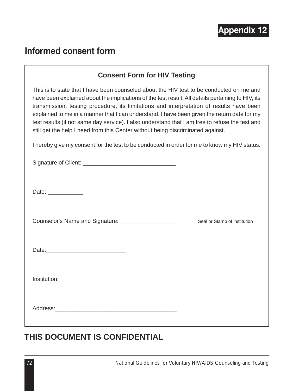

## **Informed consent form**

## **Consent Form for HIV Testing**

This is to state that I have been counseled about the HIV test to be conducted on me and have been explained about the implications of the test result. All details pertaining to HIV, its transmission, testing procedure, its limitations and interpretation of results have been explained to me in a manner that I can understand. I have been given the return date for my test results (if not same day service). I also understand that I am free to refuse the test and still get the help I need from this Center without being discriminated against.

I hereby give my consent for the test to be conducted in order for me to know my HIV status.

| Signature of Client: |  |
|----------------------|--|
|                      |  |

Date: \_\_\_\_\_\_\_\_\_\_\_\_\_\_\_

Counselor's Name and Signature: \_\_\_\_\_\_\_\_\_\_\_\_\_\_\_\_\_\_ Seal or Stamp of institution

Institution:

Address:\_\_\_\_\_\_\_\_\_\_\_\_\_\_\_\_\_\_\_\_\_\_\_\_\_\_\_\_\_\_\_\_\_\_\_\_\_\_

## **THIS DOCUMENT IS CONFIDENTIAL**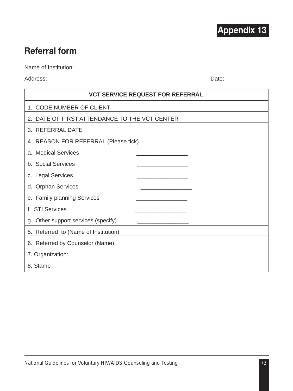

## **Referral form**

Name of Institution:

Address: Date:

| <b>VCT SERVICE REQUEST FOR REFERRAL</b>       |
|-----------------------------------------------|
| 1. CODE NUMBER OF CLIENT                      |
| 2. DATE OF FIRST ATTENDANCE TO THE VCT CENTER |
| 3. REFERRAL DATE                              |
| 4. REASON FOR REFERRAL (Please tick)          |
| a. Medical Services                           |
| b. Social Services                            |
| c. Legal Services                             |
| d. Orphan Services                            |
| e. Family planning Services                   |
| f. STI Services                               |
| g. Other support services (specify)           |
| 5. Referred to (Name of Institution)          |
| 6. Referred by Counselor (Name):              |
| 7. Organization:                              |
| 8. Stamp                                      |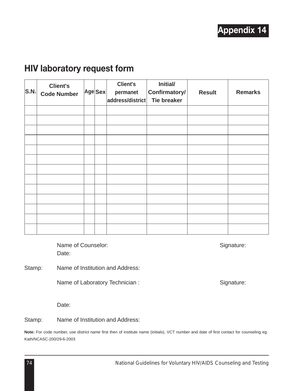## **HIV laboratory request form**

| S.N. | <b>Client's</b><br><b>Code Number</b> | Age Sex | <b>Client's</b><br>permanet<br>address/district | Initial/<br>Confirmatory/<br><b>Tie breaker</b> | <b>Result</b> | <b>Remarks</b> |
|------|---------------------------------------|---------|-------------------------------------------------|-------------------------------------------------|---------------|----------------|
|      |                                       |         |                                                 |                                                 |               |                |
|      |                                       |         |                                                 |                                                 |               |                |
|      |                                       |         |                                                 |                                                 |               |                |
|      |                                       |         |                                                 |                                                 |               |                |
|      |                                       |         |                                                 |                                                 |               |                |
|      |                                       |         |                                                 |                                                 |               |                |
|      |                                       |         |                                                 |                                                 |               |                |
|      |                                       |         |                                                 |                                                 |               |                |
|      |                                       |         |                                                 |                                                 |               |                |
|      |                                       |         |                                                 |                                                 |               |                |
|      |                                       |         |                                                 |                                                 |               |                |
|      |                                       |         |                                                 |                                                 |               |                |
|      |                                       |         |                                                 |                                                 |               |                |

Name of Counselor: Signature: Signature: Date:

Stamp: Name of Institution and Address:

Name of Laboratory Technician : Signature: Signature:

Date:

Stamp: Name of Institution and Address:

**Note:** For code number, use district name first then of institute name (initials), VCT number and date of first contact for counseling eg. Kath/NCASC-200/29-6-2003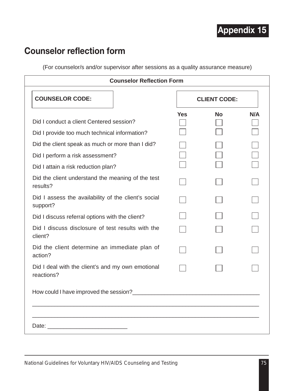## **Counselor reflection form**

(For counselor/s and/or supervisor after sessions as a quality assurance measure)

| <b>Counselor Reflection Form</b>                                 |     |                     |     |  |
|------------------------------------------------------------------|-----|---------------------|-----|--|
| <b>COUNSELOR CODE:</b>                                           |     | <b>CLIENT CODE:</b> |     |  |
|                                                                  | Yes | <b>No</b>           | N/A |  |
| Did I conduct a client Centered session?                         |     |                     |     |  |
| Did I provide too much technical information?                    |     |                     |     |  |
| Did the client speak as much or more than I did?                 |     |                     |     |  |
| Did I perform a risk assessment?                                 |     |                     |     |  |
| Did I attain a risk reduction plan?                              |     |                     |     |  |
| Did the client understand the meaning of the test<br>results?    |     |                     |     |  |
| Did I assess the availability of the client's social<br>support? |     |                     |     |  |
| Did I discuss referral options with the client?                  |     |                     |     |  |
| Did I discuss disclosure of test results with the<br>client?     |     |                     |     |  |
| Did the client determine an immediate plan of<br>action?         |     |                     |     |  |
| Did I deal with the client's and my own emotional<br>reactions?  |     |                     |     |  |
|                                                                  |     |                     |     |  |
|                                                                  |     |                     |     |  |
|                                                                  |     |                     |     |  |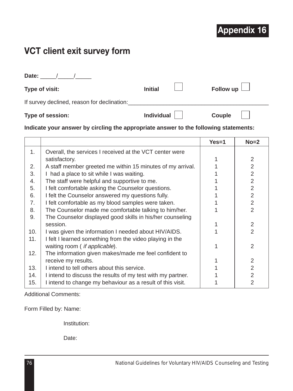# **VCT client exit survey form**

**Date:** \_\_\_\_\_/\_\_\_\_\_/\_\_\_\_\_

| Type of visit:                              | <b>Initial</b>    | Follow up $\Box$ |
|---------------------------------------------|-------------------|------------------|
| If survey declined, reason for declination: |                   |                  |
| Type of session:                            | <b>Individual</b> | Couple           |

## **Indicate your answer by circling the appropriate answer to the following statements:**

|     |                                                             | $Yes=1$ | $No = 2$       |
|-----|-------------------------------------------------------------|---------|----------------|
| 1.  | Overall, the services I received at the VCT center were     |         |                |
|     | satisfactory.                                               |         | 2              |
| 2.  | A staff member greeted me within 15 minutes of my arrival.  |         | $\overline{2}$ |
| 3.  | I had a place to sit while I was waiting.                   |         | $\overline{2}$ |
| 4.  | The staff were helpful and supportive to me.                |         | $\overline{2}$ |
| 5.  | I felt comfortable asking the Counselor questions.          |         | $\overline{2}$ |
| 6.  | I felt the Counselor answered my questions fully.           |         | $\overline{2}$ |
| 7.  | I felt comfortable as my blood samples were taken.          |         | $\overline{2}$ |
| 8.  | The Counselor made me comfortable talking to him/her.       |         | $\mathcal{P}$  |
| 9.  | The Counselor displayed good skills in his/her counseling   |         |                |
|     | session.                                                    |         | 2              |
| 10. | I was given the information I needed about HIV/AIDS.        |         | $\overline{2}$ |
| 11. | I felt I learned something from the video playing in the    |         |                |
|     | waiting room ( if applicable).                              |         | $\overline{2}$ |
| 12. | The information given makes/made me feel confident to       |         |                |
|     | receive my results.                                         |         | 2              |
| 13. | I intend to tell others about this service.                 |         | $\overline{2}$ |
| 14. | I intend to discuss the results of my test with my partner. |         | 2              |
| 15. | I intend to change my behaviour as a result of this visit.  |         | $\overline{2}$ |

Additional Comments:

Form Filled by: Name:

Institution:

Date: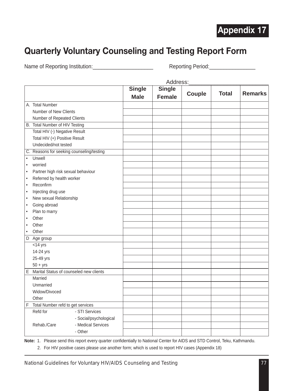## **Quarterly Voluntary Counseling and Testing Report Form**

Name of Reporting Institution:\_\_\_\_\_\_\_\_\_\_\_\_\_\_\_\_\_\_\_\_\_ Reporting Period:\_\_\_\_\_\_\_\_\_\_\_\_\_\_\_\_

|           |                                           |                        |               | Address:      |        |              |                |
|-----------|-------------------------------------------|------------------------|---------------|---------------|--------|--------------|----------------|
|           |                                           |                        | <b>Single</b> | <b>Single</b> |        |              |                |
|           |                                           |                        | <b>Male</b>   | <b>Female</b> | Couple | <b>Total</b> | <b>Remarks</b> |
|           | A. Total Number                           |                        |               |               |        |              |                |
|           | Number of New Clients                     |                        |               |               |        |              |                |
|           | Number of Repeated Clients                |                        |               |               |        |              |                |
|           | B. Total Number of HIV Testing            |                        |               |               |        |              |                |
|           | Total HIV (-) Negative Result             |                        |               |               |        |              |                |
|           | Total HIV (+) Positive Result             |                        |               |               |        |              |                |
|           | Undecided/not tested                      |                        |               |               |        |              |                |
|           | C. Reasons for seeking counseling/testing |                        |               |               |        |              |                |
| $\bullet$ | Unwell                                    |                        |               |               |        |              |                |
| $\bullet$ | worried                                   |                        |               |               |        |              |                |
| $\bullet$ | Partner high risk sexual behaviour        |                        |               |               |        |              |                |
| $\bullet$ | Referred by health worker                 |                        |               |               |        |              |                |
| $\bullet$ | Reconfirm                                 |                        |               |               |        |              |                |
| $\bullet$ | Injecting drug use                        |                        |               |               |        |              |                |
| $\bullet$ | New sexual Relationship                   |                        |               |               |        |              |                |
| $\bullet$ | Going abroad                              |                        |               |               |        |              |                |
| $\bullet$ | Plan to marry                             |                        |               |               |        |              |                |
| $\bullet$ | Other                                     |                        |               |               |        |              |                |
| $\bullet$ | Other                                     |                        |               |               |        |              |                |
| $\bullet$ | Other                                     |                        |               |               |        |              |                |
|           | D Age group                               |                        |               |               |        |              |                |
|           | $<$ 14 yrs                                |                        |               |               |        |              |                |
|           | 14-24 yrs                                 |                        |               |               |        |              |                |
|           | 25-49 yrs                                 |                        |               |               |        |              |                |
|           | $50 + yrs$                                |                        |               |               |        |              |                |
|           | E Marital Status of counseled new clients |                        |               |               |        |              |                |
|           | Married                                   |                        |               |               |        |              |                |
|           | Unmarried                                 |                        |               |               |        |              |                |
|           | Widow/Divoced                             |                        |               |               |        |              |                |
|           | Other                                     |                        |               |               |        |              |                |
| F.        | Total Number refd to get services         |                        |               |               |        |              |                |
|           | Refd for                                  | - STI Services         |               |               |        |              |                |
|           |                                           | - Social/psychological |               |               |        |              |                |
|           | Rehab./Care                               | - Medical Services     |               |               |        |              |                |
|           |                                           | - Other                |               |               |        |              |                |

**Note:** 1. Please send this report every quarter confidentially to National Center for AIDS and STD Control, Teku, Kathmandu.

2. For HIV positive cases please use another form; which is used to report HIV cases (Appendix 18)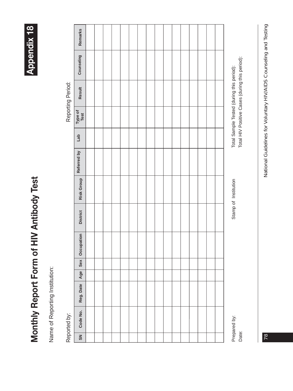Monthly Report Form of HIV Antibody Test **Monthly Report Form of HIV Antibody Test**

**Appendix 18**

**Appendix 18** 

Name of Reporting Institution: Name of Reporting Institution:

Reported by:

Reporting Period: Reported by: Reporting Period:

| SN    | Code No.     | Reg. Date | Age | Sex | Occupation | <b>District</b> | <b>Risk Group</b>    | Referred by | Lab | Type of<br>Test | Result                                                                                      | Counseling | Remarks |
|-------|--------------|-----------|-----|-----|------------|-----------------|----------------------|-------------|-----|-----------------|---------------------------------------------------------------------------------------------|------------|---------|
|       |              |           |     |     |            |                 |                      |             |     |                 |                                                                                             |            |         |
|       |              |           |     |     |            |                 |                      |             |     |                 |                                                                                             |            |         |
|       |              |           |     |     |            |                 |                      |             |     |                 |                                                                                             |            |         |
|       |              |           |     |     |            |                 |                      |             |     |                 |                                                                                             |            |         |
|       |              |           |     |     |            |                 |                      |             |     |                 |                                                                                             |            |         |
|       |              |           |     |     |            |                 |                      |             |     |                 |                                                                                             |            |         |
|       |              |           |     |     |            |                 |                      |             |     |                 |                                                                                             |            |         |
|       |              |           |     |     |            |                 |                      |             |     |                 |                                                                                             |            |         |
|       |              |           |     |     |            |                 |                      |             |     |                 |                                                                                             |            |         |
|       |              |           |     |     |            |                 |                      |             |     |                 |                                                                                             |            |         |
|       |              |           |     |     |            |                 |                      |             |     |                 |                                                                                             |            |         |
|       |              |           |     |     |            |                 |                      |             |     |                 |                                                                                             |            |         |
|       |              |           |     |     |            |                 |                      |             |     |                 |                                                                                             |            |         |
|       |              |           |     |     |            |                 |                      |             |     |                 |                                                                                             |            |         |
|       |              |           |     |     |            |                 |                      |             |     |                 |                                                                                             |            |         |
|       |              |           |     |     |            |                 |                      |             |     |                 |                                                                                             |            |         |
| Date: | Prepared by: |           |     |     |            |                 | Stamp of Institution |             |     |                 | Total HIV Positive Cases (during this period):<br>Total Sample Tested (during this period): |            |         |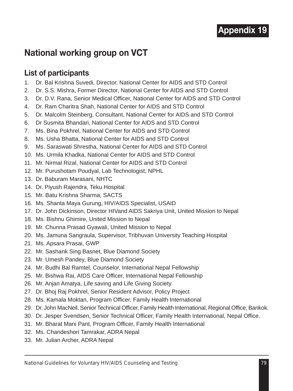## **National working group on VCT**

## **List of participants**

- 1. Dr. Bal Krishna Suvedi, Director, National Center for AIDS and STD Control
- 2. Dr. S.S. Mishra, Former Director, National Center for AIDS and STD Control
- 3. Dr. D.V. Rana, Senior Medical Officer, National Center for AIDS and STD Control
- 4. Dr. Ram Charitra Shah, National Center for AIDS and STD Control
- 5. Dr. Malcolm Steinberg, Consultant, National Center for AIDS and STD Control
- 6. Dr Susmita Bhandari, National Center for AIDS and STD Control
- 7. Ms. Bina Pokhrel, National Center for AIDS and STD Control
- 8. Ms. Usha Bhatta, National Center for AIDS and STD Control
- 9. Ms. Saraswati Shrestha, National Center for AIDS and STD Control
- 10. Ms. Urmila Khadka, National Center for AIDS and STD Control
- 11. Mr. Nirmal Rizal, National Center for AIDS and STD Control
- 12. Mr. Purushotam Poudyal, Lab Technologist, NPHL
- 13. Dr. Baburam Marasani, NHTC
- 14. Dr. Piyush Rajendra, Teku Hospital
- 15. Mr. Batu Krishna Sharma, SACTS
- 16. Ms. Shanta Maya Gurung, HIV/AIDS Specialist, USAID
- 17. Dr. John Dickinson, Director HIVand AIDS Sakriya Unit, United Mission to Nepal
- 18. Ms. Bishnu Ghimire, United Mission to Nepal
- 19. Mr. Chunna Prasad Gyawali, United Mission to Nepal
- 20. Ms. Jamuna Sangraula, Supervisor, Tribhuvan University Teaching Hospital
- 21. Ms. Apsara Prasai, GWP
- 22. Mr. Sashank Sing Basnet, Blue Diamond Society
- 23. Mr. Umesh Pandey, Blue Diamond Society
- 24. Mr. Budhi Bal Ramtel, Counselor, International Nepal Fellowship
- 25. Mr. Bishwa Rai, AIDS Care Officer, International Nepal Fellowship
- 26. Mr. Anjan Amatya, Life saving and Life Giving Society
- 27. Dr. Bhoj Raj Pokhrel, Senior Resident Advisor, Policy Project
- 28. Ms. Kamala Moktan, Program Officer, Family Health International
- 29. Dr. John MacNeil, Senior Technical Officer, Family Health International, Regional Office, Bankok.
- 30. Dr. Jesper Svendsen, Senior Technical Officer, Family Health International, Nepal Office.
- 31. Mr. Bharat Mani Pant, Program Officer, Family Health International
- 32. Ms. Chandeshori Tamrakar, ADRA Nepal
- 33. Mr. Julian Archer, ADRA Nepal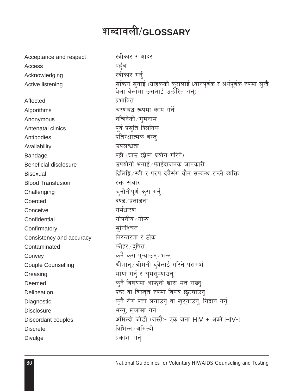# शब्दावली/GLOSSARY

| Acceptance and respect    | स्वीकार र आदर                                                                                              |
|---------------------------|------------------------------------------------------------------------------------------------------------|
| Access                    | पहुँच                                                                                                      |
| Acknowledging             | स्वीकार गर्नु                                                                                              |
| Active listening          | सक्रिय सुनाई (ग्राहकको कुरालाई ध्यानपूर्वक र अर्थपूर्वक रुपमा सुन्दै<br>बेला बेलॉमा उसलाई उत्प्रेरित गर्न) |
| Affected                  | प्रभावित                                                                                                   |
| Algorithms                | चरणबद्ध रूपमा काम गर्ने                                                                                    |
| Anonymous                 | नचिनेको ∕ गुमनाम                                                                                           |
| Antenatal clinics         | पूर्व प्रसुति क्लिनिक                                                                                      |
| Antibodies                | प्रतिरक्षात्मक वस्त्                                                                                       |
| Availability              | उपलव्धता                                                                                                   |
| Bandage                   | पट्टी (घाउ छोप्न प्रयोग गरिने)                                                                             |
| Beneficial disclosure     | उपयोगी भनाई ∕ फाईदाजनक जानकारी                                                                             |
| <b>Bisexual</b>           | द्विलिङ्गि ∕ स्त्री र पुरुष दुवैसंग यौन सम्बन्ध राख्ने व्यक्ति                                             |
| <b>Blood Transfusion</b>  | रक्त संचार                                                                                                 |
| Challenging               | चनौतीपूर्ण करा गर्न्                                                                                       |
| Coerced                   | दण्ड ∕ प्रताडना                                                                                            |
| Conceive                  | गर्भधारण                                                                                                   |
| Confidential              | गोपनीय ∕ गोप्य                                                                                             |
| Confirmatory              | सुनिश्चित                                                                                                  |
| Consistency and accuracy  | निरन्तरता र ठीक                                                                                            |
| Contaminated              | फोहर ∕ द्षित                                                                                               |
| Convey                    | क्नै क्रा प्ऱ्याउन्∕भन्न्                                                                                  |
| <b>Couple Counselling</b> | श्रीमान् ∕श्रीमती दुवैलाई गरिने परामर्श                                                                    |
| Creasing                  | माया गर्न् र सुमसुम्याउनु                                                                                  |
| Deemed                    | क्नै विषयमा आफ्नो खास मत राख्न्                                                                            |
| Delineation               | प्रष्ट वा विस्तृत रुपमा विषय छट्याउन्                                                                      |
| Diagnostic                | क्नै रोग पत्ता लगाउन् वा खुट्याउन्, निदान गर्न्                                                            |
| <b>Disclosure</b>         | भन्नु, खुलासा गर्नं                                                                                        |
| Discordant couples        | अमिल्दो जोडी (जस्तै:- एक जना HIV + अर्को HIV-)                                                             |
| <b>Discrete</b>           | विभिन्न ∕ अमिल्दो                                                                                          |
| Divulge                   | प्रकाश पार्न्                                                                                              |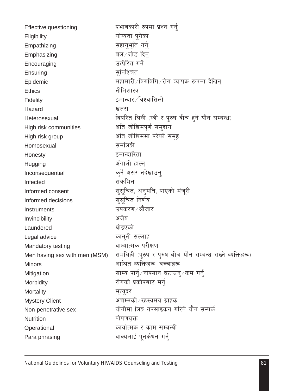| Effective questioning         | प्रभावकारी रुपमा प्रश्न गर्न्                              |
|-------------------------------|------------------------------------------------------------|
| Eligibility                   | योग्यता पुगेको                                             |
| Empathizing                   | सहानुभूति गर्नु                                            |
| Emphasizing                   | बल ∕ जोड दिन                                               |
| Encouraging                   | उत्प्रेरित गर्ने                                           |
| Ensuring                      | सुनिश्चित                                                  |
| Epidemic                      | महामारी ∕ विगविगि ∕ रोग ब्यापक रूपमा देखिन्                |
| <b>Ethics</b>                 | नीतिशास्त्र                                                |
| Fidelity                      | इमान्दार ∕ विश्वासिलो                                      |
| Hazard                        | खतरा                                                       |
| Heterosexual                  | विपरित लिङ्गी (स्त्री र पुरुष वीच हुने यौन सम्बन्ध)        |
| High risk communities         | अति जोखिमपूर्ण समुदाय                                      |
| High risk group               | अति जोखिममा परेको समूह                                     |
| Homosexual                    | समलिङ्गी                                                   |
| Honesty                       | इमान्दारिता                                                |
| Hugging                       | अँगालो हाल्न्                                              |
| Inconsequential               | कुनै असर नदेखाउनु                                          |
| Infected                      | संक्रमित                                                   |
| Informed consent              | सुसूचित, अनुमति, पाएको मंजूरी                              |
| Informed decisions            | सुसूचित निर्णय                                             |
| Instruments                   | उपकरण∕ औजार                                                |
| Invincibility                 | अजेय                                                       |
| Laundered                     | धोइएको                                                     |
| Legal advice                  | कानूनी सल्लाह                                              |
| Mandatory testing             | वाध्यात्मक परीक्षण                                         |
| Men having sex with men (MSM) | समलिङ्गी (पुरुष र पुरुष बीच यौन सम्बन्ध राख्ने व्यक्तिहरू) |
| <b>Minors</b>                 | आश्रित व्यक्तिहरू, बच्चाहरू                                |
| Mitigation                    | साम्य पार्न्∕नोक्सान घटाउन्∕कम गर्न्                       |
| Morbidity                     | रोगको प्रकोपबाट मर्न्                                      |
| Mortality                     | मृत्युदर                                                   |
| <b>Mystery Client</b>         | अचम्मको ⁄ रहस्यमय ग्राहक                                   |
| Non-penetrative sex           | योनीमा लिङ्ग नपसाइकन गरिने यौन सम्पर्क                     |
| <b>Nutrition</b>              | पोषणयुक्त                                                  |
| Operational                   | कार्यात्मक र काम सम्बन्धी                                  |
| Para phrasing                 | वाक्यलाई पूनर्कथन गर्नु                                    |
|                               |                                                            |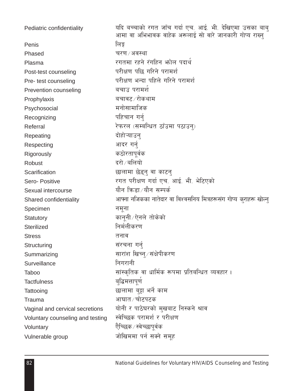| Pediatric confidentiality        | यदि बच्चाको रगत जाँच गर्दा एच. आई. भी. देखिएमा उसका बाबु<br>आमा वा अभिभावक वाहेक अरूलाई सो वारे जानकारी गोप्य राख्न |
|----------------------------------|---------------------------------------------------------------------------------------------------------------------|
| Penis                            | लिङ्ग                                                                                                               |
| Phased                           | चरण / अवस्था                                                                                                        |
| Plasma                           | रगतमा रहने रंगहिन भोल पदार्थ                                                                                        |
| Post-test counseling             | परीक्षण पछि गरिने परामर्श                                                                                           |
| Pre- test counseling             | परीक्षण भन्दा पहिले गरिने परामर्श                                                                                   |
| Prevention counseling            | बचाउ परामर्श                                                                                                        |
| Prophylaxis                      | बचावट∠रोकथाम                                                                                                        |
| Psychosocial                     | मनोसामाजिक                                                                                                          |
| Recognizing                      | पहिचान गर्न्                                                                                                        |
| Referral                         | रेफरल (सम्बन्धित ठाँउमा पठाउन्)                                                                                     |
| Repeating                        | दोहोऱ्याउन्                                                                                                         |
| Respecting                       | आदर गर्न्                                                                                                           |
| Rigorously                       | कठोरतापूर्वक                                                                                                        |
| Robust                           | दरो ∕ बलियो                                                                                                         |
| Scarification                    | छालामा छेड्नु वा काटनु                                                                                              |
| Sero-Positive                    | रगत परीक्षण गर्दा एच. आई. भी. भेटिएको                                                                               |
| Sexual intercourse               | यौन किडा ∕ यौन सम्पर्क                                                                                              |
| Shared confidentiality           | आफ्ना नजिकका नातेदार वा विश्वसनिय मित्रहरूसंग गोप्य कुराहरू खोल्न्                                                  |
| Specimen                         | नमूना                                                                                                               |
| Statutory                        | कानूनी ∕ऐनले तोकेको                                                                                                 |
| Sterilized                       | निर्मलीकरण                                                                                                          |
| <b>Stress</b>                    | तनाव                                                                                                                |
| Structuring                      | संरचना गर्न्                                                                                                        |
| Summarizing                      | सारांश खिच्नु ∕ संक्षेपीकरण                                                                                         |
| Surveillance                     | निगरानी                                                                                                             |
| Taboo                            | सांस्कृतिक वा धार्मिक रूपमा प्रतिबन्धित व्यवहार ।                                                                   |
| <b>Tactfulness</b>               | बुद्धिमत्तापूर्ण                                                                                                    |
| Tattooing                        | छालामा बुट्टा भर्ने काम                                                                                             |
| Trauma                           | आघात ⁄ चोटपटक                                                                                                       |
| Vaginal and cervical secretions  | योनी र पाठेघरको मुखबाट निस्कने श्राव                                                                                |
| Voluntary counseling and testing | स्वेच्छिक परामर्श र परीक्षण                                                                                         |
| Voluntary                        | ऐेच्छिक⁄ स्वेच्छापुर्वक                                                                                             |
| Vulnerable group                 | जोखिममा पर्न सक्ने समूह                                                                                             |